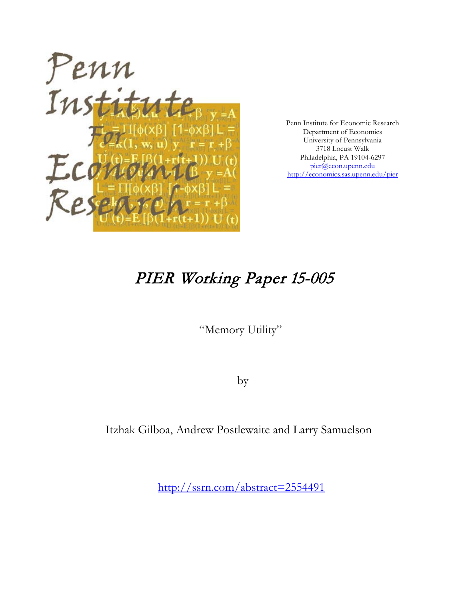

Penn Institute for Economic Research Department of Economics University of Pennsylvania 3718 Locust Walk Philadelphia, PA 19104-6297 [pier@econ.upenn.edu](mailto:pier@econ.upenn.edu) <http://economics.sas.upenn.edu/pier>

# PIER Working Paper 15-005

"Memory Utility"

by

Itzhak Gilboa, Andrew Postlewaite and Larry Samuelson

[http://ssrn.com/abstract=2](http://ssrn.com/abstract_id=)554491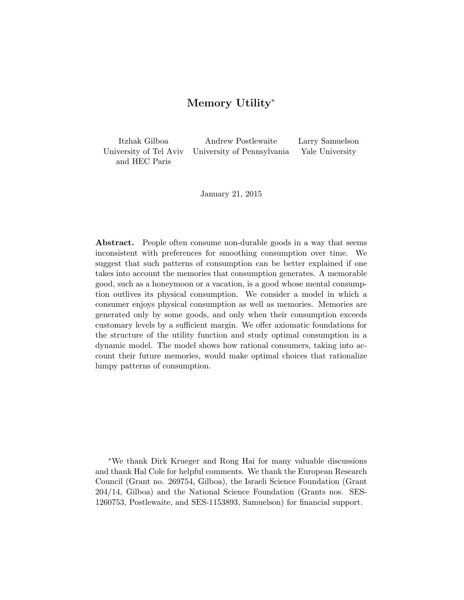# Memory Utility<sup>∗</sup>

Itzhak Gilboa Andrew Postlewaite Larry Samuelson University of Tel Aviv University of Pennsylvania Yale University and HEC Paris

January 21, 2015

Abstract. People often consume non-durable goods in a way that seems inconsistent with preferences for smoothing consumption over time. We suggest that such patterns of consumption can be better explained if one takes into account the memories that consumption generates. A memorable good, such as a honeymoon or a vacation, is a good whose mental consumption outlives its physical consumption. We consider a model in which a consumer enjoys physical consumption as well as memories. Memories are generated only by some goods, and only when their consumption exceeds customary levels by a sufficient margin. We offer axiomatic foundations for the structure of the utility function and study optimal consumption in a dynamic model. The model shows how rational consumers, taking into account their future memories, would make optimal choices that rationalize lumpy patterns of consumption.

<sup>∗</sup>We thank Dirk Krueger and Rong Hai for many valuable discussions and thank Hal Cole for helpful comments. We thank the European Research Council (Grant no. 269754, Gilboa), the Israeli Science Foundation (Grant 204/14, Gilboa) and the National Science Foundation (Grants nos. SES-1260753, Postlewaite, and SES-1153893, Samuelson) for financial support.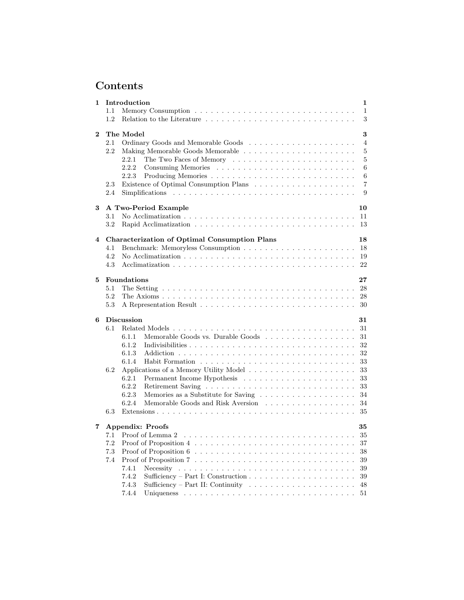# Contents

| 1        |         | Introduction<br>$\mathbf 1$                                                                                                           |
|----------|---------|---------------------------------------------------------------------------------------------------------------------------------------|
|          | 1.1     | $\mathbf{1}$                                                                                                                          |
|          | 1.2     | 3                                                                                                                                     |
|          |         |                                                                                                                                       |
| $\bf{2}$ |         | The Model<br>3                                                                                                                        |
|          | 2.1     | 4                                                                                                                                     |
|          | 2.2     | 5<br>Making Memorable Goods Memorable                                                                                                 |
|          |         | $\mathbf 5$<br>2.2.1                                                                                                                  |
|          |         | $\,6$<br>2.2.2                                                                                                                        |
|          |         | $6\phantom{.}6$<br>2.2.3                                                                                                              |
|          | 2.3     | $\overline{7}$                                                                                                                        |
|          | 2.4     | 9                                                                                                                                     |
|          |         |                                                                                                                                       |
| 3        |         | A Two-Period Example<br>10<br>No Acclimatization $\ldots \ldots \ldots \ldots \ldots \ldots \ldots \ldots \ldots \ldots \ldots$<br>11 |
|          | 3.1     |                                                                                                                                       |
|          | 3.2     | 13                                                                                                                                    |
| 4        |         | <b>Characterization of Optimal Consumption Plans</b><br>18                                                                            |
|          | 4.1     | 18                                                                                                                                    |
|          | 4.2     | No Acclimatization $\ldots \ldots \ldots \ldots \ldots \ldots \ldots \ldots \ldots \ldots \ldots$<br>19                               |
|          | 4.3     | 22                                                                                                                                    |
|          |         |                                                                                                                                       |
| 5        |         | <b>Foundations</b><br>27                                                                                                              |
|          | 5.1     | The Setting $\ldots \ldots \ldots \ldots \ldots \ldots \ldots \ldots \ldots \ldots \ldots \ldots$<br>28                               |
|          | 5.2     | 28                                                                                                                                    |
|          | 5.3     | 30                                                                                                                                    |
|          |         |                                                                                                                                       |
| 6        |         | <b>Discussion</b><br>31                                                                                                               |
|          | 6.1     | 31                                                                                                                                    |
|          |         | Memorable Goods vs. Durable Goods<br>6.1.1<br>31                                                                                      |
|          |         | 6.1.2<br>32                                                                                                                           |
|          |         | 32<br>6.1.3                                                                                                                           |
|          |         | 6.1.4<br>33                                                                                                                           |
|          | $6.2\,$ | 33                                                                                                                                    |
|          |         | 6.2.1<br>33                                                                                                                           |
|          |         | 6.2.2<br>33                                                                                                                           |
|          |         | 6.2.3<br>34                                                                                                                           |
|          |         | 34<br>6.2.4                                                                                                                           |
|          | 6.3     | 35                                                                                                                                    |
|          |         |                                                                                                                                       |
| 7        |         | <b>Appendix: Proofs</b><br>35                                                                                                         |
|          |         | 35                                                                                                                                    |
|          | 7.2     | 37                                                                                                                                    |
|          | 7.3     | Proof of Proposition $6 \ldots \ldots \ldots \ldots \ldots \ldots \ldots \ldots \ldots \ldots$<br>38                                  |
|          | 7.4     | 39                                                                                                                                    |
|          |         | 7.4.1<br>Necessity<br>39                                                                                                              |
|          |         | 7.4.2<br>39                                                                                                                           |
|          |         | Sufficiency – Part II: Continuity $\ldots \ldots \ldots \ldots \ldots \ldots \ldots$<br>7.4.3<br>48                                   |
|          |         | 7.4.4<br>51                                                                                                                           |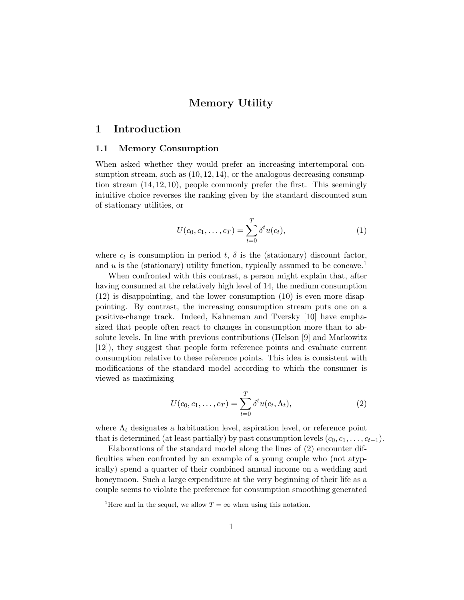# Memory Utility

# 1 Introduction

## 1.1 Memory Consumption

When asked whether they would prefer an increasing intertemporal consumption stream, such as  $(10, 12, 14)$ , or the analogous decreasing consumption stream  $(14, 12, 10)$ , people commonly prefer the first. This seemingly intuitive choice reverses the ranking given by the standard discounted sum of stationary utilities, or

$$
U(c_0, c_1, \dots, c_T) = \sum_{t=0}^{T} \delta^t u(c_t),
$$
\n(1)

where  $c_t$  is consumption in period  $t$ ,  $\delta$  is the (stationary) discount factor, and u is the (stationary) utility function, typically assumed to be concave.<sup>1</sup>

When confronted with this contrast, a person might explain that, after having consumed at the relatively high level of 14, the medium consumption (12) is disappointing, and the lower consumption (10) is even more disappointing. By contrast, the increasing consumption stream puts one on a positive-change track. Indeed, Kahneman and Tversky [10] have emphasized that people often react to changes in consumption more than to absolute levels. In line with previous contributions (Helson [9] and Markowitz [12]), they suggest that people form reference points and evaluate current consumption relative to these reference points. This idea is consistent with modifications of the standard model according to which the consumer is viewed as maximizing

$$
U(c_0, c_1, \dots, c_T) = \sum_{t=0}^{T} \delta^t u(c_t, \Lambda_t),
$$
\n(2)

where  $\Lambda_t$  designates a habituation level, aspiration level, or reference point that is determined (at least partially) by past consumption levels  $(c_0, c_1, \ldots, c_{t-1})$ .

Elaborations of the standard model along the lines of (2) encounter difficulties when confronted by an example of a young couple who (not atypically) spend a quarter of their combined annual income on a wedding and honeymoon. Such a large expenditure at the very beginning of their life as a couple seems to violate the preference for consumption smoothing generated

<sup>&</sup>lt;sup>1</sup>Here and in the sequel, we allow  $T = \infty$  when using this notation.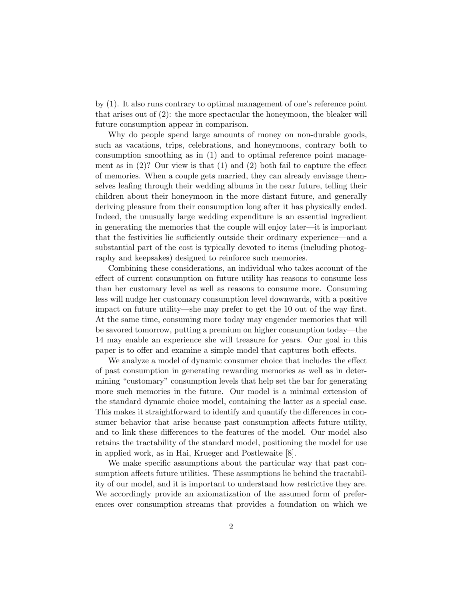by (1). It also runs contrary to optimal management of one's reference point that arises out of (2): the more spectacular the honeymoon, the bleaker will future consumption appear in comparison.

Why do people spend large amounts of money on non-durable goods, such as vacations, trips, celebrations, and honeymoons, contrary both to consumption smoothing as in (1) and to optimal reference point management as in (2)? Our view is that (1) and (2) both fail to capture the effect of memories. When a couple gets married, they can already envisage themselves leafing through their wedding albums in the near future, telling their children about their honeymoon in the more distant future, and generally deriving pleasure from their consumption long after it has physically ended. Indeed, the unusually large wedding expenditure is an essential ingredient in generating the memories that the couple will enjoy later—it is important that the festivities lie sufficiently outside their ordinary experience—and a substantial part of the cost is typically devoted to items (including photography and keepsakes) designed to reinforce such memories.

Combining these considerations, an individual who takes account of the effect of current consumption on future utility has reasons to consume less than her customary level as well as reasons to consume more. Consuming less will nudge her customary consumption level downwards, with a positive impact on future utility—she may prefer to get the 10 out of the way first. At the same time, consuming more today may engender memories that will be savored tomorrow, putting a premium on higher consumption today—the 14 may enable an experience she will treasure for years. Our goal in this paper is to offer and examine a simple model that captures both effects.

We analyze a model of dynamic consumer choice that includes the effect of past consumption in generating rewarding memories as well as in determining "customary" consumption levels that help set the bar for generating more such memories in the future. Our model is a minimal extension of the standard dynamic choice model, containing the latter as a special case. This makes it straightforward to identify and quantify the differences in consumer behavior that arise because past consumption affects future utility, and to link these differences to the features of the model. Our model also retains the tractability of the standard model, positioning the model for use in applied work, as in Hai, Krueger and Postlewaite [8].

We make specific assumptions about the particular way that past consumption affects future utilities. These assumptions lie behind the tractability of our model, and it is important to understand how restrictive they are. We accordingly provide an axiomatization of the assumed form of preferences over consumption streams that provides a foundation on which we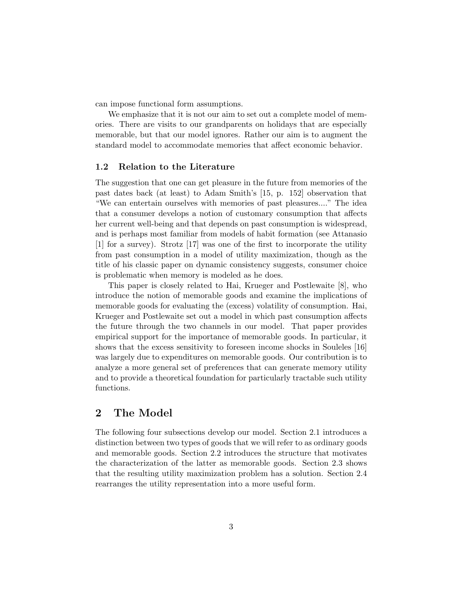can impose functional form assumptions.

We emphasize that it is not our aim to set out a complete model of memories. There are visits to our grandparents on holidays that are especially memorable, but that our model ignores. Rather our aim is to augment the standard model to accommodate memories that affect economic behavior.

## 1.2 Relation to the Literature

The suggestion that one can get pleasure in the future from memories of the past dates back (at least) to Adam Smith's [15, p. 152] observation that "We can entertain ourselves with memories of past pleasures...." The idea that a consumer develops a notion of customary consumption that affects her current well-being and that depends on past consumption is widespread, and is perhaps most familiar from models of habit formation (see Attanasio [1] for a survey). Strotz [17] was one of the first to incorporate the utility from past consumption in a model of utility maximization, though as the title of his classic paper on dynamic consistency suggests, consumer choice is problematic when memory is modeled as he does.

This paper is closely related to Hai, Krueger and Postlewaite [8], who introduce the notion of memorable goods and examine the implications of memorable goods for evaluating the (excess) volatility of consumption. Hai, Krueger and Postlewaite set out a model in which past consumption affects the future through the two channels in our model. That paper provides empirical support for the importance of memorable goods. In particular, it shows that the excess sensitivity to foreseen income shocks in Souleles [16] was largely due to expenditures on memorable goods. Our contribution is to analyze a more general set of preferences that can generate memory utility and to provide a theoretical foundation for particularly tractable such utility functions.

# 2 The Model

The following four subsections develop our model. Section 2.1 introduces a distinction between two types of goods that we will refer to as ordinary goods and memorable goods. Section 2.2 introduces the structure that motivates the characterization of the latter as memorable goods. Section 2.3 shows that the resulting utility maximization problem has a solution. Section 2.4 rearranges the utility representation into a more useful form.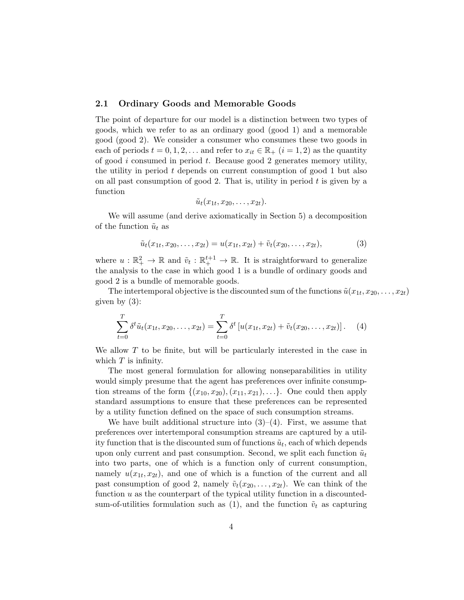# 2.1 Ordinary Goods and Memorable Goods

The point of departure for our model is a distinction between two types of goods, which we refer to as an ordinary good (good 1) and a memorable good (good 2). We consider a consumer who consumes these two goods in each of periods  $t = 0, 1, 2, \ldots$  and refer to  $x_{it} \in \mathbb{R}_+$   $(i = 1, 2)$  as the quantity of good  $i$  consumed in period  $t$ . Because good 2 generates memory utility, the utility in period  $t$  depends on current consumption of good 1 but also on all past consumption of good 2. That is, utility in period  $t$  is given by a function

$$
\tilde{u}_t(x_{1t},x_{20},\ldots,x_{2t}).
$$

We will assume (and derive axiomatically in Section 5) a decomposition of the function  $\tilde{u}_t$  as

$$
\tilde{u}_t(x_{1t}, x_{20}, \dots, x_{2t}) = u(x_{1t}, x_{2t}) + \tilde{v}_t(x_{20}, \dots, x_{2t}),
$$
\n(3)

where  $u : \mathbb{R}_+^2 \to \mathbb{R}$  and  $\tilde{v}_t : \mathbb{R}_+^{t+1} \to \mathbb{R}$ . It is straightforward to generalize the analysis to the case in which good 1 is a bundle of ordinary goods and good 2 is a bundle of memorable goods.

The intertemporal objective is the discounted sum of the functions  $\tilde{u}(x_{1t}, x_{20}, \ldots, x_{2t})$ given by (3):

$$
\sum_{t=0}^{T} \delta^t \tilde{u}_t(x_{1t}, x_{20}, \dots, x_{2t}) = \sum_{t=0}^{T} \delta^t \left[ u(x_{1t}, x_{2t}) + \tilde{v}_t(x_{20}, \dots, x_{2t}) \right]. \tag{4}
$$

We allow  $T$  to be finite, but will be particularly interested in the case in which  $T$  is infinity.

The most general formulation for allowing nonseparabilities in utility would simply presume that the agent has preferences over infinite consumption streams of the form  $\{(x_{10}, x_{20}), (x_{11}, x_{21}), \ldots\}$ . One could then apply standard assumptions to ensure that these preferences can be represented by a utility function defined on the space of such consumption streams.

We have built additional structure into  $(3)-(4)$ . First, we assume that preferences over intertemporal consumption streams are captured by a utility function that is the discounted sum of functions  $\tilde{u}_t$ , each of which depends upon only current and past consumption. Second, we split each function  $\tilde{u}_t$ into two parts, one of which is a function only of current consumption, namely  $u(x_{1t}, x_{2t})$ , and one of which is a function of the current and all past consumption of good 2, namely  $\tilde{v}_t(x_{20}, \ldots, x_{2t})$ . We can think of the function  $u$  as the counterpart of the typical utility function in a discountedsum-of-utilities formulation such as (1), and the function  $\tilde{v}_t$  as capturing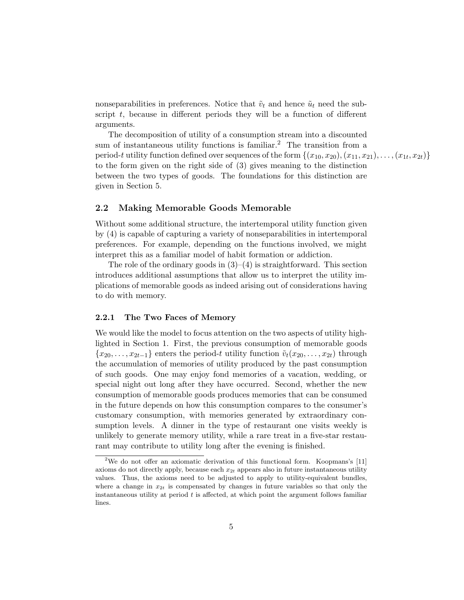nonseparabilities in preferences. Notice that  $\tilde{v}_t$  and hence  $\tilde{u}_t$  need the subscript  $t$ , because in different periods they will be a function of different arguments.

The decomposition of utility of a consumption stream into a discounted sum of instantaneous utility functions is familiar.<sup>2</sup> The transition from a period-t utility function defined over sequences of the form  $\{(x_{10}, x_{20}), (x_{11}, x_{21}), \ldots, (x_{1t}, x_{2t})\}$ to the form given on the right side of (3) gives meaning to the distinction between the two types of goods. The foundations for this distinction are given in Section 5.

# 2.2 Making Memorable Goods Memorable

Without some additional structure, the intertemporal utility function given by (4) is capable of capturing a variety of nonseparabilities in intertemporal preferences. For example, depending on the functions involved, we might interpret this as a familiar model of habit formation or addiction.

The role of the ordinary goods in  $(3)$ – $(4)$  is straightforward. This section introduces additional assumptions that allow us to interpret the utility implications of memorable goods as indeed arising out of considerations having to do with memory.

#### 2.2.1 The Two Faces of Memory

We would like the model to focus attention on the two aspects of utility highlighted in Section 1. First, the previous consumption of memorable goods  ${x_{20}, \ldots, x_{2t-1}}$  enters the period-t utility function  $\tilde{v}_t(x_{20}, \ldots, x_{2t})$  through the accumulation of memories of utility produced by the past consumption of such goods. One may enjoy fond memories of a vacation, wedding, or special night out long after they have occurred. Second, whether the new consumption of memorable goods produces memories that can be consumed in the future depends on how this consumption compares to the consumer's customary consumption, with memories generated by extraordinary consumption levels. A dinner in the type of restaurant one visits weekly is unlikely to generate memory utility, while a rare treat in a five-star restaurant may contribute to utility long after the evening is finished.

<sup>&</sup>lt;sup>2</sup>We do not offer an axiomatic derivation of this functional form. Koopmans's  $[11]$ axioms do not directly apply, because each  $x_{2t}$  appears also in future instantaneous utility values. Thus, the axioms need to be adjusted to apply to utility-equivalent bundles, where a change in  $x_{2t}$  is compensated by changes in future variables so that only the instantaneous utility at period  $t$  is affected, at which point the argument follows familiar lines.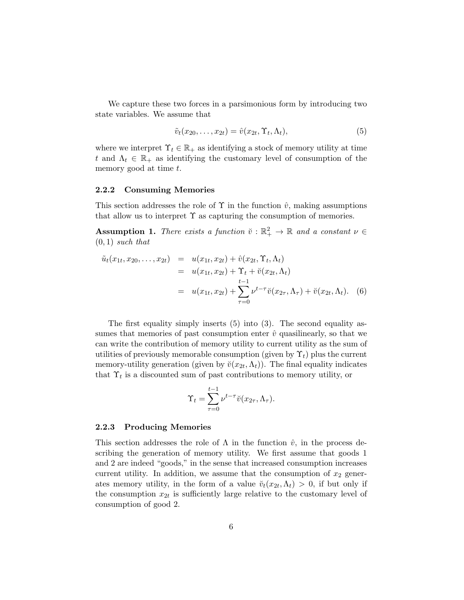We capture these two forces in a parsimonious form by introducing two state variables. We assume that

$$
\tilde{v}_t(x_{20},\ldots,x_{2t}) = \hat{v}(x_{2t},\Upsilon_t,\Lambda_t),\tag{5}
$$

where we interpret  $\Upsilon_t \in \mathbb{R}_+$  as identifying a stock of memory utility at time t and  $\Lambda_t \in \mathbb{R}_+$  as identifying the customary level of consumption of the memory good at time t.

#### 2.2.2 Consuming Memories

This section addresses the role of  $\Upsilon$  in the function  $\hat{v}$ , making assumptions that allow us to interpret  $\Upsilon$  as capturing the consumption of memories.

**Assumption 1.** There exists a function  $\check{v} : \mathbb{R}^2_+ \to \mathbb{R}$  and a constant  $v \in \mathbb{R}^2$  $(0, 1)$  such that

$$
\tilde{u}_t(x_{1t}, x_{20}, \dots, x_{2t}) = u(x_{1t}, x_{2t}) + \hat{v}(x_{2t}, \Upsilon_t, \Lambda_t) \n= u(x_{1t}, x_{2t}) + \Upsilon_t + \breve{v}(x_{2t}, \Lambda_t) \n= u(x_{1t}, x_{2t}) + \sum_{\tau=0}^{t-1} \nu^{t-\tau} \breve{v}(x_{2\tau}, \Lambda_\tau) + \breve{v}(x_{2t}, \Lambda_t).
$$
\n(6)

The first equality simply inserts (5) into (3). The second equality assumes that memories of past consumption enter  $\hat{v}$  quasilinearly, so that we can write the contribution of memory utility to current utility as the sum of utilities of previously memorable consumption (given by  $\Upsilon_t$ ) plus the current memory-utility generation (given by  $\breve{v}(x_{2t}, \Lambda_t)$ ). The final equality indicates that  $\Upsilon_t$  is a discounted sum of past contributions to memory utility, or

$$
\Upsilon_t = \sum_{\tau=0}^{t-1} \nu^{t-\tau} \breve{v}(x_{2\tau}, \Lambda_\tau).
$$

#### 2.2.3 Producing Memories

This section addresses the role of  $\Lambda$  in the function  $\hat{v}$ , in the process describing the generation of memory utility. We first assume that goods 1 and 2 are indeed "goods," in the sense that increased consumption increases current utility. In addition, we assume that the consumption of  $x_2$  generates memory utility, in the form of a value  $\breve{v}_t(x_{2t}, \Lambda_t) > 0$ , if but only if the consumption  $x_{2t}$  is sufficiently large relative to the customary level of consumption of good 2.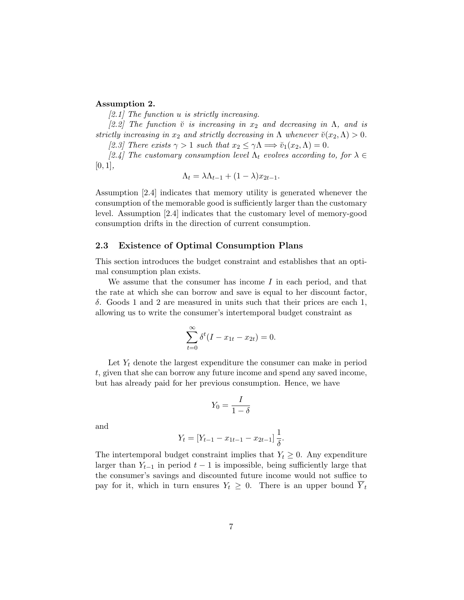## Assumption 2.

[2.1] The function u is strictly increasing.

[2.2] The function  $\check{v}$  is increasing in  $x_2$  and decreasing in  $\Lambda$ , and is strictly increasing in  $x_2$  and strictly decreasing in  $\Lambda$  whenever  $\breve{v}(x_2,\Lambda) > 0$ . [2.3] There exists  $\gamma > 1$  such that  $x_2 \leq \gamma \Lambda \Longrightarrow \breve{v}_1(x_2, \Lambda) = 0$ .

[2.4] The customary consumption level  $\Lambda_t$  evolves according to, for  $\lambda \in$  $[0, 1],$ 

$$
\Lambda_t = \lambda \Lambda_{t-1} + (1 - \lambda)x_{2t-1}.
$$

Assumption [2.4] indicates that memory utility is generated whenever the consumption of the memorable good is sufficiently larger than the customary level. Assumption [2.4] indicates that the customary level of memory-good consumption drifts in the direction of current consumption.

# 2.3 Existence of Optimal Consumption Plans

This section introduces the budget constraint and establishes that an optimal consumption plan exists.

We assume that the consumer has income  $I$  in each period, and that the rate at which she can borrow and save is equal to her discount factor, δ. Goods 1 and 2 are measured in units such that their prices are each 1, allowing us to write the consumer's intertemporal budget constraint as

$$
\sum_{t=0}^{\infty} \delta^t (I - x_{1t} - x_{2t}) = 0.
$$

Let  $Y_t$  denote the largest expenditure the consumer can make in period t, given that she can borrow any future income and spend any saved income, but has already paid for her previous consumption. Hence, we have

$$
Y_0 = \frac{I}{1 - \delta}
$$

and

$$
Y_t = [Y_{t-1} - x_{1t-1} - x_{2t-1}] \frac{1}{\delta}.
$$

The intertemporal budget constraint implies that  $Y_t \geq 0$ . Any expenditure larger than  $Y_{t-1}$  in period  $t-1$  is impossible, being sufficiently large that the consumer's savings and discounted future income would not suffice to pay for it, which in turn ensures  $Y_t \geq 0$ . There is an upper bound  $Y_t$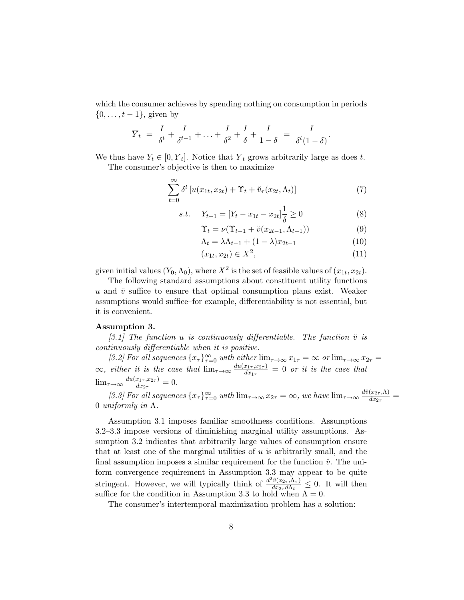which the consumer achieves by spending nothing on consumption in periods  $\{0, \ldots, t-1\}$ , given by

$$
\overline{Y}_t = \frac{I}{\delta^t} + \frac{I}{\delta^{t-1}} + \ldots + \frac{I}{\delta^2} + \frac{I}{\delta} + \frac{I}{1-\delta} = \frac{I}{\delta^t (1-\delta)}.
$$

We thus have  $Y_t \in [0, \overline{Y}_t]$ . Notice that  $\overline{Y}_t$  grows arbitrarily large as does t.

The consumer's objective is then to maximize

$$
\sum_{t=0}^{\infty} \delta^t \left[ u(x_{1t}, x_{2t}) + \Upsilon_t + \breve{v}_\tau(x_{2t}, \Lambda_t) \right] \tag{7}
$$

s.t. 
$$
Y_{t+1} = [Y_t - x_{1t} - x_{2t}] \frac{1}{\delta} \ge 0
$$
 (8)

$$
\Upsilon_t = \nu(\Upsilon_{t-1} + \breve{v}(x_{2t-1}, \Lambda_{t-1})) \tag{9}
$$

$$
\Lambda_t = \lambda \Lambda_{t-1} + (1 - \lambda)x_{2t-1} \tag{10}
$$

$$
(x_{1t}, x_{2t}) \in X^2,\t\t(11)
$$

given initial values  $(Y_0, \Lambda_0)$ , where  $X^2$  is the set of feasible values of  $(x_{1t}, x_{2t})$ .

The following standard assumptions about constituent utility functions u and  $\check{v}$  suffice to ensure that optimal consumption plans exist. Weaker assumptions would suffice–for example, differentiability is not essential, but it is convenient.

# Assumption 3.

[3.1] The function u is continuously differentiable. The function  $\breve{v}$  is continuously differentiable when it is positive.

[3.2] For all sequences  $\{x_\tau\}_{\tau=0}^\infty$  with either  $\lim_{\tau\to\infty} x_{1\tau} = \infty$  or  $\lim_{\tau\to\infty} x_{2\tau} =$  $\infty$ , either it is the case that  $\lim_{\tau \to \infty} \frac{du(x_1, x_2, x_1)}{dx_1}$  $\frac{x_{1\tau},x_{2\tau}}{dx_{1\tau}} = 0$  or it is the case that  $\lim_{\tau \to \infty} \frac{du(x_{1\tau}, x_{2\tau})}{dx_{2\tau}}$  $\frac{x_{1\tau},x_{2\tau}}{dx_{2\tau}}=0.$ 

[3.3] For all sequences  $\{x_\tau\}_{\tau=0}^\infty$  with  $\lim_{\tau\to\infty} x_{2\tau} = \infty$ , we have  $\lim_{\tau\to\infty} \frac{d\breve{v}(x_{2\tau},\Lambda)}{dx_{2\tau}}$  $\frac{(x_{2\tau},\Lambda)}{dx_{2\tau}}=$ 0 *uniformly in*  $Λ$ .

Assumption 3.1 imposes familiar smoothness conditions. Assumptions 3.2–3.3 impose versions of diminishing marginal utility assumptions. Assumption 3.2 indicates that arbitrarily large values of consumption ensure that at least one of the marginal utilities of  $u$  is arbitrarily small, and the final assumption imposes a similar requirement for the function  $\hat{v}$ . The uniform convergence requirement in Assumption 3.3 may appear to be quite stringent. However, we will typically think of  $\frac{d^2\hat{v}(x_{2\tau}, \Lambda_{\tau})}{dx_0, d\Lambda_{\tau}}$  $\frac{v(x_{2\tau}, \Lambda_{\tau})}{dx_{2\tau}d\Lambda_t} \leq 0$ . It will then suffice for the condition in Assumption 3.3 to hold when  $\Lambda = 0$ .

The consumer's intertemporal maximization problem has a solution: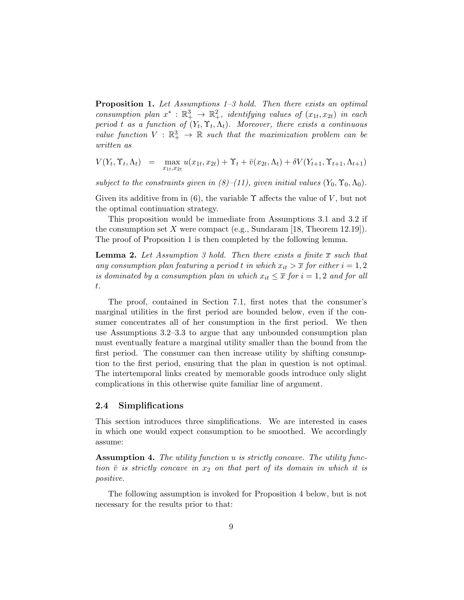**Proposition 1.** Let Assumptions  $1-3$  hold. Then there exists an optimal consumption plan  $x^* : \mathbb{R}^3_+ \to \mathbb{R}^2_+$ , identifying values of  $(x_{1t}, x_{2t})$  in each period t as a function of  $(Y_t, \Upsilon_t, \Lambda_t)$ . Moreover, there exists a continuous value function  $V : \mathbb{R}^3_+ \to \mathbb{R}$  such that the maximization problem can be written as

$$
V(Y_t, \Upsilon_t, \Lambda_t) = \max_{x_{1t}, x_{2t}} u(x_{1t}, x_{2t}) + \Upsilon_t + \breve{v}(x_{2t}, \Lambda_t) + \delta V(Y_{t+1}, \Upsilon_{t+1}, \Lambda_{t+1})
$$

subject to the constraints given in  $(8)$ –(11), given initial values  $(Y_0, \Upsilon_0, \Lambda_0)$ .

Given its additive from in (6), the variable  $\Upsilon$  affects the value of V, but not the optimal continuation strategy.

This proposition would be immediate from Assumptions 3.1 and 3.2 if the consumption set X were compact (e.g., Sundaram [18, Theorem 12.19]). The proof of Proposition 1 is then completed by the following lemma.

**Lemma 2.** Let Assumption 3 hold. Then there exists a finite  $\bar{x}$  such that any consumption plan featuring a period t in which  $x_{it} > \overline{x}$  for either  $i = 1, 2$ is dominated by a consumption plan in which  $x_{it} \leq \overline{x}$  for  $i = 1, 2$  and for all t.

The proof, contained in Section 7.1, first notes that the consumer's marginal utilities in the first period are bounded below, even if the consumer concentrates all of her consumption in the first period. We then use Assumptions 3.2–3.3 to argue that any unbounded consumption plan must eventually feature a marginal utility smaller than the bound from the first period. The consumer can then increase utility by shifting consumption to the first period, ensuring that the plan in question is not optimal. The intertemporal links created by memorable goods introduce only slight complications in this otherwise quite familiar line of argument.

#### 2.4 Simplifications

This section introduces three simplifications. We are interested in cases in which one would expect consumption to be smoothed. We accordingly assume:

Assumption 4. The utility function u is strictly concave. The utility function  $\check{v}$  is strictly concave in  $x_2$  on that part of its domain in which it is positive.

The following assumption is invoked for Proposition 4 below, but is not necessary for the results prior to that: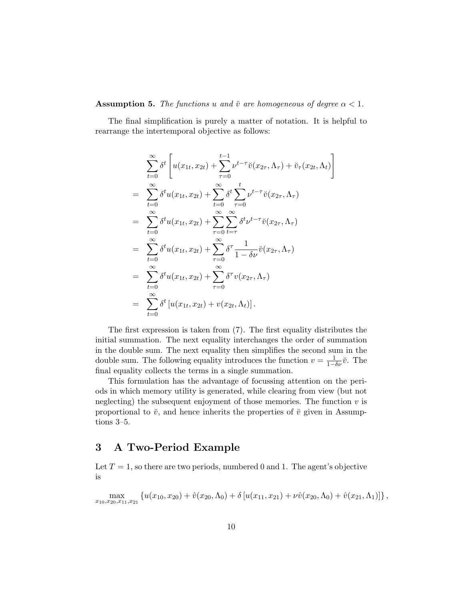#### **Assumption 5.** The functions u and  $\check{v}$  are homogeneous of degree  $\alpha < 1$ .

The final simplification is purely a matter of notation. It is helpful to rearrange the intertemporal objective as follows:

$$
\sum_{t=0}^{\infty} \delta^t \left[ u(x_{1t}, x_{2t}) + \sum_{\tau=0}^{t-1} \nu^{t-\tau} \breve{v}(x_{2\tau}, \Lambda_{\tau}) + \breve{v}_{\tau}(x_{2t}, \Lambda_t) \right]
$$
\n
$$
= \sum_{t=0}^{\infty} \delta^t u(x_{1t}, x_{2t}) + \sum_{t=0}^{\infty} \delta^t \sum_{\tau=0}^t \nu^{t-\tau} \breve{v}(x_{2\tau}, \Lambda_{\tau})
$$
\n
$$
= \sum_{t=0}^{\infty} \delta^t u(x_{1t}, x_{2t}) + \sum_{\tau=0}^{\infty} \sum_{t=\tau}^{\infty} \delta^t \nu^{t-\tau} \breve{v}(x_{2\tau}, \Lambda_{\tau})
$$
\n
$$
= \sum_{t=0}^{\infty} \delta^t u(x_{1t}, x_{2t}) + \sum_{\tau=0}^{\infty} \delta^{\tau} \frac{1}{1 - \delta \nu} \breve{v}(x_{2\tau}, \Lambda_{\tau})
$$
\n
$$
= \sum_{t=0}^{\infty} \delta^t u(x_{1t}, x_{2t}) + \sum_{\tau=0}^{\infty} \delta^{\tau} v(x_{2\tau}, \Lambda_{\tau})
$$
\n
$$
= \sum_{t=0}^{\infty} \delta^t \left[ u(x_{1t}, x_{2t}) + v(x_{2t}, \Lambda_t) \right].
$$

The first expression is taken from (7). The first equality distributes the initial summation. The next equality interchanges the order of summation in the double sum. The next equality then simplifies the second sum in the double sum. The following equality introduces the function  $v = \frac{1}{1-\delta\nu}\ddot{v}$ . The final equality collects the terms in a single summation.

This formulation has the advantage of focussing attention on the periods in which memory utility is generated, while clearing from view (but not neglecting) the subsequent enjoyment of those memories. The function  $v$  is proportional to  $\check{v}$ , and hence inherits the properties of  $\check{v}$  given in Assumptions 3–5.

# 3 A Two-Period Example

Let  $T = 1$ , so there are two periods, numbered 0 and 1. The agent's objective is

$$
\max_{x_{10},x_{20},x_{11},x_{21}} \left\{ u(x_{10},x_{20}) + \hat{v}(x_{20},\Lambda_0) + \delta \left[ u(x_{11},x_{21}) + \nu \hat{v}(x_{20},\Lambda_0) + \hat{v}(x_{21},\Lambda_1) \right] \right\},\,
$$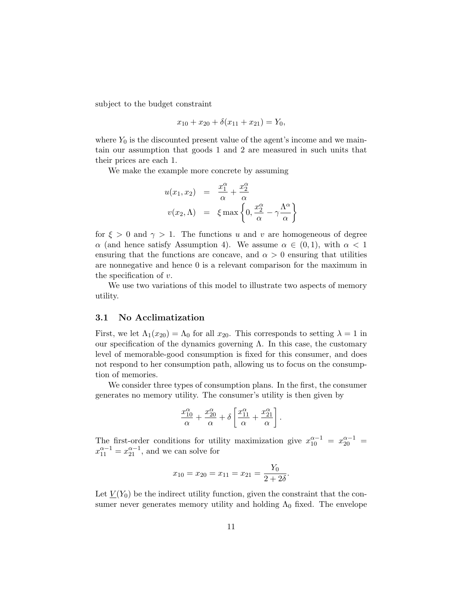subject to the budget constraint

$$
x_{10} + x_{20} + \delta(x_{11} + x_{21}) = Y_0,
$$

where  $Y_0$  is the discounted present value of the agent's income and we maintain our assumption that goods 1 and 2 are measured in such units that their prices are each 1.

We make the example more concrete by assuming

$$
u(x_1, x_2) = \frac{x_1^{\alpha}}{\alpha} + \frac{x_2^{\alpha}}{\alpha}
$$
  

$$
v(x_2, \Lambda) = \xi \max \left\{ 0, \frac{x_2^{\alpha}}{\alpha} - \gamma \frac{\Lambda^{\alpha}}{\alpha} \right\}
$$

for  $\xi > 0$  and  $\gamma > 1$ . The functions u and v are homogeneous of degree  $\alpha$  (and hence satisfy Assumption 4). We assume  $\alpha \in (0,1)$ , with  $\alpha < 1$ ensuring that the functions are concave, and  $\alpha > 0$  ensuring that utilities are nonnegative and hence 0 is a relevant comparison for the maximum in the specification of  $v$ .

We use two variations of this model to illustrate two aspects of memory utility.

#### 3.1 No Acclimatization

First, we let  $\Lambda_1(x_{20}) = \Lambda_0$  for all  $x_{20}$ . This corresponds to setting  $\lambda = 1$  in our specification of the dynamics governing  $\Lambda$ . In this case, the customary level of memorable-good consumption is fixed for this consumer, and does not respond to her consumption path, allowing us to focus on the consumption of memories.

We consider three types of consumption plans. In the first, the consumer generates no memory utility. The consumer's utility is then given by

$$
\frac{x_{10}^{\alpha}}{\alpha} + \frac{x_{20}^{\alpha}}{\alpha} + \delta \left[ \frac{x_{11}^{\alpha}}{\alpha} + \frac{x_{21}^{\alpha}}{\alpha} \right].
$$

The first-order conditions for utility maximization give  $x_{10}^{\alpha-1} = x_{20}^{\alpha-1} =$  $x_{11}^{\alpha-1} = x_{21}^{\alpha-1}$ , and we can solve for

$$
x_{10} = x_{20} = x_{11} = x_{21} = \frac{Y_0}{2 + 2\delta}.
$$

Let  $V(Y_0)$  be the indirect utility function, given the constraint that the consumer never generates memory utility and holding  $\Lambda_0$  fixed. The envelope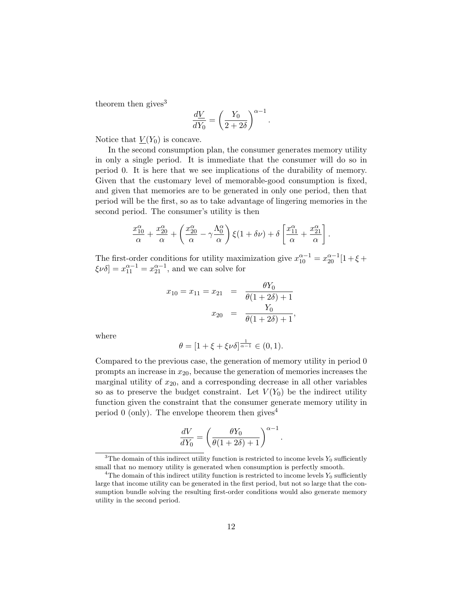theorem then gives $3$ 

$$
\frac{d\underline{V}}{dY_0} = \left(\frac{Y_0}{2+2\delta}\right)^{\alpha-1}.
$$

Notice that  $V(Y_0)$  is concave.

In the second consumption plan, the consumer generates memory utility in only a single period. It is immediate that the consumer will do so in period 0. It is here that we see implications of the durability of memory. Given that the customary level of memorable-good consumption is fixed, and given that memories are to be generated in only one period, then that period will be the first, so as to take advantage of lingering memories in the second period. The consumer's utility is then

$$
\frac{x_{10}^{\alpha}}{\alpha} + \frac{x_{20}^{\alpha}}{\alpha} + \left(\frac{x_{20}^{\alpha}}{\alpha} - \gamma \frac{\Lambda_0^{\alpha}}{\alpha}\right) \xi(1 + \delta \nu) + \delta \left[\frac{x_{11}^{\alpha}}{\alpha} + \frac{x_{21}^{\alpha}}{\alpha}\right].
$$

The first-order conditions for utility maximization give  $x_{10}^{\alpha-1} = x_{20}^{\alpha-1} [1 + \xi +$  $\xi \nu \delta] = x_{11}^{\alpha - 1} = x_{21}^{\alpha - 1}$ , and we can solve for

$$
x_{10} = x_{11} = x_{21} = \frac{\theta Y_0}{\theta (1 + 2\delta) + 1}
$$

$$
x_{20} = \frac{Y_0}{\theta (1 + 2\delta) + 1},
$$

where

$$
\theta = [1 + \xi + \xi \nu \delta]^{\frac{1}{\alpha - 1}} \in (0, 1).
$$

Compared to the previous case, the generation of memory utility in period 0 prompts an increase in  $x_{20}$ , because the generation of memories increases the marginal utility of  $x_{20}$ , and a corresponding decrease in all other variables so as to preserve the budget constraint. Let  $V(Y_0)$  be the indirect utility function given the constraint that the consumer generate memory utility in period 0 (only). The envelope theorem then gives<sup>4</sup>

$$
\frac{dV}{dY_0} = \left(\frac{\theta Y_0}{\theta(1+2\delta)+1}\right)^{\alpha-1}
$$

.

<sup>&</sup>lt;sup>3</sup>The domain of this indirect utility function is restricted to income levels  $Y_0$  sufficiently small that no memory utility is generated when consumption is perfectly smooth.

<sup>&</sup>lt;sup>4</sup>The domain of this indirect utility function is restricted to income levels  $Y_0$  sufficiently large that income utility can be generated in the first period, but not so large that the consumption bundle solving the resulting first-order conditions would also generate memory utility in the second period.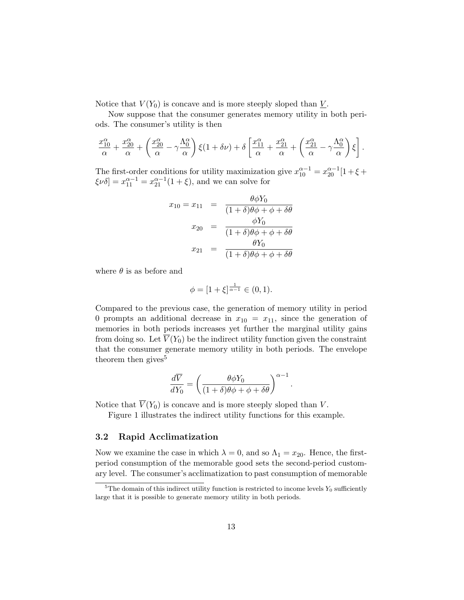Notice that  $V(Y_0)$  is concave and is more steeply sloped than  $\underline{V}$ .

Now suppose that the consumer generates memory utility in both periods. The consumer's utility is then

$$
\frac{x_{10}^{\alpha}}{\alpha} + \frac{x_{20}^{\alpha}}{\alpha} + \left(\frac{x_{20}^{\alpha}}{\alpha} - \gamma \frac{\Lambda_0^{\alpha}}{\alpha}\right) \xi(1 + \delta \nu) + \delta \left[\frac{x_{11}^{\alpha}}{\alpha} + \frac{x_{21}^{\alpha}}{\alpha} + \left(\frac{x_{21}^{\alpha}}{\alpha} - \gamma \frac{\Lambda_0^{\alpha}}{\alpha}\right) \xi\right].
$$

The first-order conditions for utility maximization give  $x_{10}^{\alpha-1} = x_{20}^{\alpha-1} [1 + \xi +$  $\xi \nu \delta] = x_{11}^{\alpha - 1} = x_{21}^{\alpha - 1} (1 + \xi)$ , and we can solve for

$$
x_{10} = x_{11} = \frac{\theta \phi Y_0}{(1+\delta)\theta\phi + \phi + \delta\theta}
$$

$$
x_{20} = \frac{\phi Y_0}{(1+\delta)\theta\phi + \phi + \delta\theta}
$$

$$
x_{21} = \frac{\theta Y_0}{(1+\delta)\theta\phi + \phi + \delta\theta}
$$

where  $\theta$  is as before and

$$
\phi = [1 + \xi]^{\frac{1}{\alpha - 1}} \in (0, 1).
$$

Compared to the previous case, the generation of memory utility in period 0 prompts an additional decrease in  $x_{10} = x_{11}$ , since the generation of memories in both periods increases yet further the marginal utility gains from doing so. Let  $\overline{V}(Y_0)$  be the indirect utility function given the constraint that the consumer generate memory utility in both periods. The envelope theorem then gives<sup>5</sup>

$$
\frac{d\overline{V}}{dY_0} = \left(\frac{\theta \phi Y_0}{(1+\delta)\theta\phi + \phi + \delta\theta}\right)^{\alpha - 1}
$$

.

Notice that  $\overline{V}(Y_0)$  is concave and is more steeply sloped than V.

Figure 1 illustrates the indirect utility functions for this example.

# 3.2 Rapid Acclimatization

Now we examine the case in which  $\lambda = 0$ , and so  $\Lambda_1 = x_{20}$ . Hence, the firstperiod consumption of the memorable good sets the second-period customary level. The consumer's acclimatization to past consumption of memorable

 $5$ The domain of this indirect utility function is restricted to income levels  $Y_0$  sufficiently large that it is possible to generate memory utility in both periods.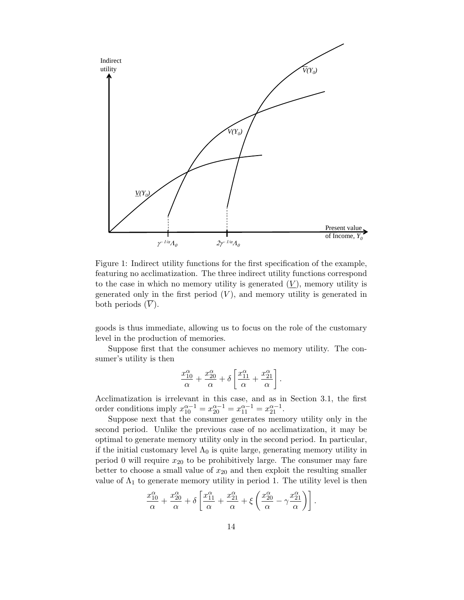

Figure 1: Indirect utility functions for the first specification of the example, featuring no acclimatization. The three indirect utility functions correspond to the case in which no memory utility is generated  $(V)$ , memory utility is generated only in the first period  $(V)$ , and memory utility is generated in both periods  $(V)$ .

goods is thus immediate, allowing us to focus on the role of the customary level in the production of memories.

Suppose first that the consumer achieves no memory utility. The consumer's utility is then

$$
\frac{x_{10}^{\alpha}}{\alpha} + \frac{x_{20}^{\alpha}}{\alpha} + \delta \left[ \frac{x_{11}^{\alpha}}{\alpha} + \frac{x_{21}^{\alpha}}{\alpha} \right].
$$

Acclimatization is irrelevant in this case, and as in Section 3.1, the first order conditions imply  $x_{10}^{\alpha-1} = x_{20}^{\alpha-1} = x_{11}^{\alpha-1} = x_{21}^{\alpha-1}$ .

Suppose next that the consumer generates memory utility only in the second period. Unlike the previous case of no acclimatization, it may be optimal to generate memory utility only in the second period. In particular, if the initial customary level  $\Lambda_0$  is quite large, generating memory utility in period 0 will require  $x_{20}$  to be prohibitively large. The consumer may fare better to choose a small value of  $x_{20}$  and then exploit the resulting smaller value of  $\Lambda_1$  to generate memory utility in period 1. The utility level is then

$$
\frac{x_{10}^{\alpha}}{\alpha} + \frac{x_{20}^{\alpha}}{\alpha} + \delta \left[ \frac{x_{11}^{\alpha}}{\alpha} + \frac{x_{21}^{\alpha}}{\alpha} + \xi \left( \frac{x_{20}^{\alpha}}{\alpha} - \gamma \frac{x_{21}^{\alpha}}{\alpha} \right) \right].
$$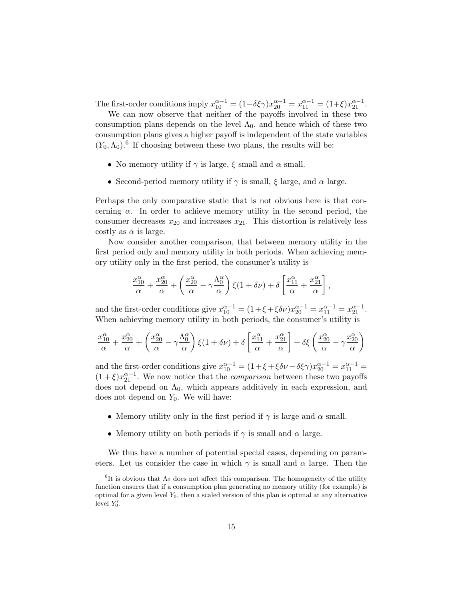The first-order conditions imply  $x_{10}^{\alpha-1} = (1 - \delta \xi \gamma) x_{20}^{\alpha-1} = x_{11}^{\alpha-1} = (1 + \xi) x_{21}^{\alpha-1}$ .

We can now observe that neither of the payoffs involved in these two consumption plans depends on the level  $\Lambda_0$ , and hence which of these two consumption plans gives a higher payoff is independent of the state variables  $(Y_0, \Lambda_0)$ .<sup>6</sup> If choosing between these two plans, the results will be:

- No memory utility if  $\gamma$  is large,  $\xi$  small and  $\alpha$  small.
- Second-period memory utility if  $\gamma$  is small,  $\xi$  large, and  $\alpha$  large.

Perhaps the only comparative static that is not obvious here is that concerning  $\alpha$ . In order to achieve memory utility in the second period, the consumer decreases  $x_{20}$  and increases  $x_{21}$ . This distortion is relatively less costly as  $\alpha$  is large.

Now consider another comparison, that between memory utility in the first period only and memory utility in both periods. When achieving memory utility only in the first period, the consumer's utility is

$$
\frac{x_{10}^{\alpha}}{\alpha} + \frac{x_{20}^{\alpha}}{\alpha} + \left(\frac{x_{20}^{\alpha}}{\alpha} - \gamma \frac{\Lambda_0^{\alpha}}{\alpha}\right) \xi(1 + \delta \nu) + \delta \left[\frac{x_{11}^{\alpha}}{\alpha} + \frac{x_{21}^{\alpha}}{\alpha}\right],
$$

and the first-order conditions give  $x_{10}^{\alpha-1} = (1 + \xi + \xi \delta \nu) x_{20}^{\alpha-1} = x_{11}^{\alpha-1} = x_{21}^{\alpha-1}$ . When achieving memory utility in both periods, the consumer's utility is

$$
\frac{x_{10}^{\alpha}}{\alpha} + \frac{x_{20}^{\alpha}}{\alpha} + \left(\frac{x_{20}^{\alpha}}{\alpha} - \gamma \frac{\Lambda_0^{\alpha}}{\alpha}\right) \xi(1 + \delta \nu) + \delta \left[\frac{x_{11}^{\alpha}}{\alpha} + \frac{x_{21}^{\alpha}}{\alpha}\right] + \delta \xi \left(\frac{x_{20}^{\alpha}}{\alpha} - \gamma \frac{x_{20}^{\alpha}}{\alpha}\right)
$$

and the first-order conditions give  $x_{10}^{\alpha-1} = (1 + \xi + \xi \delta \nu - \delta \xi \gamma) x_{20}^{\alpha-1} = x_{11}^{\alpha-1} =$  $(1+\xi)x_{21}^{\alpha-1}$ . We now notice that the *comparison* between these two payoffs does not depend on  $\Lambda_0$ , which appears additively in each expression, and does not depend on  $Y_0$ . We will have:

- Memory utility only in the first period if  $\gamma$  is large and  $\alpha$  small.
- Memory utility on both periods if  $\gamma$  is small and  $\alpha$  large.

We thus have a number of potential special cases, depending on parameters. Let us consider the case in which  $\gamma$  is small and  $\alpha$  large. Then the

<sup>&</sup>lt;sup>6</sup>It is obvious that  $\Lambda_0$  does not affect this comparison. The homogeneity of the utility function ensures that if a consumption plan generating no memory utility (for example) is optimal for a given level  $Y_0$ , then a scaled version of this plan is optimal at any alternative level  $Y'_0$ .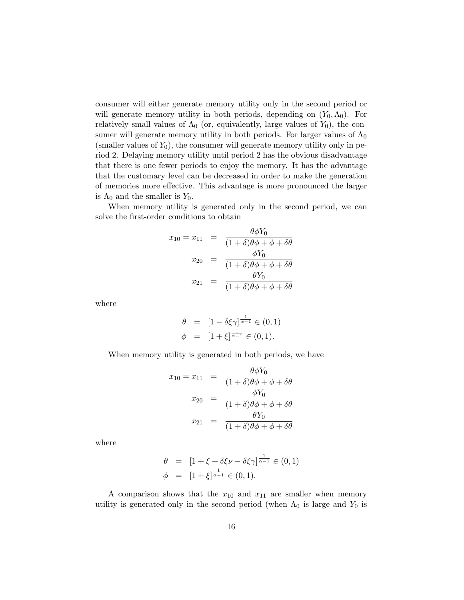consumer will either generate memory utility only in the second period or will generate memory utility in both periods, depending on  $(Y_0, \Lambda_0)$ . For relatively small values of  $\Lambda_0$  (or, equivalently, large values of  $Y_0$ ), the consumer will generate memory utility in both periods. For larger values of  $\Lambda_0$ (smaller values of  $Y_0$ ), the consumer will generate memory utility only in period 2. Delaying memory utility until period 2 has the obvious disadvantage that there is one fewer periods to enjoy the memory. It has the advantage that the customary level can be decreased in order to make the generation of memories more effective. This advantage is more pronounced the larger is  $\Lambda_0$  and the smaller is  $Y_0$ .

When memory utility is generated only in the second period, we can solve the first-order conditions to obtain

$$
x_{10} = x_{11} = \frac{\theta \phi Y_0}{(1+\delta)\theta\phi + \phi + \delta\theta}
$$

$$
x_{20} = \frac{\phi Y_0}{(1+\delta)\theta\phi + \phi + \delta\theta}
$$

$$
x_{21} = \frac{\theta Y_0}{(1+\delta)\theta\phi + \phi + \delta\theta}
$$

where

$$
\begin{array}{rcl} \theta & = & [1 - \delta \xi \gamma]^{\frac{1}{\alpha - 1}} \in (0, 1) \\ \phi & = & [1 + \xi]^{\frac{1}{\alpha - 1}} \in (0, 1). \end{array}
$$

When memory utility is generated in both periods, we have

$$
x_{10} = x_{11} = \frac{\theta \phi Y_0}{(1+\delta)\theta\phi + \phi + \delta\theta}
$$

$$
x_{20} = \frac{\phi Y_0}{(1+\delta)\theta\phi + \phi + \delta\theta}
$$

$$
x_{21} = \frac{\theta Y_0}{(1+\delta)\theta\phi + \phi + \delta\theta}
$$

where

$$
\begin{array}{rcl} \theta & = & \left[ 1 + \xi + \delta \xi \nu - \delta \xi \gamma \right] \xrightarrow{\,1 \,}{\,} \in (0, 1) \\ \phi & = & \left[ 1 + \xi \right] \xrightarrow{\,1 \,}{\,} \in (0, 1). \end{array}
$$

A comparison shows that the  $x_{10}$  and  $x_{11}$  are smaller when memory utility is generated only in the second period (when  $\Lambda_0$  is large and  $Y_0$  is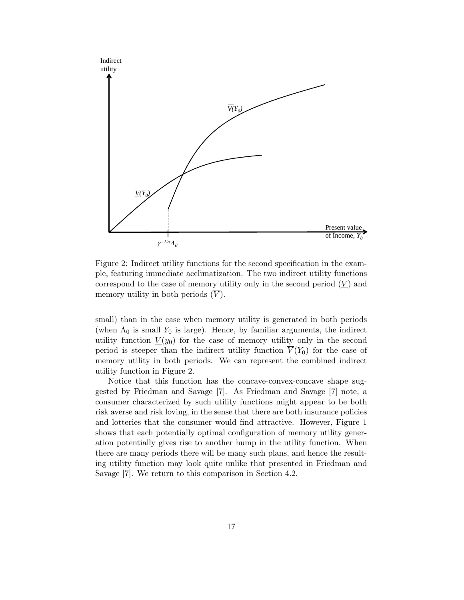

Figure 2: Indirect utility functions for the second specification in the example, featuring immediate acclimatization. The two indirect utility functions correspond to the case of memory utility only in the second period  $(V)$  and memory utility in both periods  $(\overline{V})$ .

small) than in the case when memory utility is generated in both periods (when  $\Lambda_0$  is small  $Y_0$  is large). Hence, by familiar arguments, the indirect utility function  $\underline{V}(y_0)$  for the case of memory utility only in the second period is steeper than the indirect utility function  $\overline{V}(Y_0)$  for the case of memory utility in both periods. We can represent the combined indirect utility function in Figure 2.

Notice that this function has the concave-convex-concave shape suggested by Friedman and Savage [7]. As Friedman and Savage [7] note, a consumer characterized by such utility functions might appear to be both risk averse and risk loving, in the sense that there are both insurance policies and lotteries that the consumer would find attractive. However, Figure 1 shows that each potentially optimal configuration of memory utility generation potentially gives rise to another hump in the utility function. When there are many periods there will be many such plans, and hence the resulting utility function may look quite unlike that presented in Friedman and Savage [7]. We return to this comparison in Section 4.2.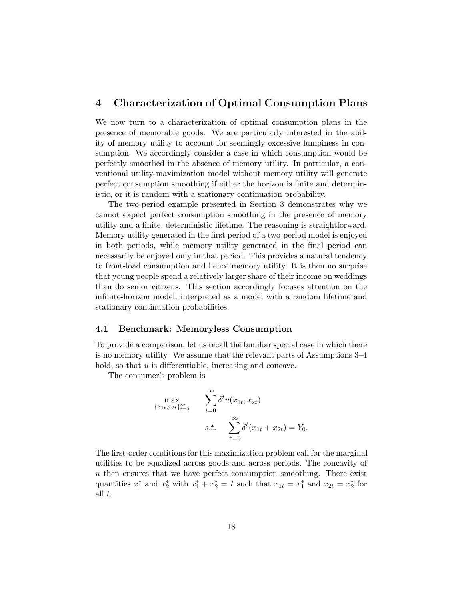# 4 Characterization of Optimal Consumption Plans

We now turn to a characterization of optimal consumption plans in the presence of memorable goods. We are particularly interested in the ability of memory utility to account for seemingly excessive lumpiness in consumption. We accordingly consider a case in which consumption would be perfectly smoothed in the absence of memory utility. In particular, a conventional utility-maximization model without memory utility will generate perfect consumption smoothing if either the horizon is finite and deterministic, or it is random with a stationary continuation probability.

The two-period example presented in Section 3 demonstrates why we cannot expect perfect consumption smoothing in the presence of memory utility and a finite, deterministic lifetime. The reasoning is straightforward. Memory utility generated in the first period of a two-period model is enjoyed in both periods, while memory utility generated in the final period can necessarily be enjoyed only in that period. This provides a natural tendency to front-load consumption and hence memory utility. It is then no surprise that young people spend a relatively larger share of their income on weddings than do senior citizens. This section accordingly focuses attention on the infinite-horizon model, interpreted as a model with a random lifetime and stationary continuation probabilities.

# 4.1 Benchmark: Memoryless Consumption

To provide a comparison, let us recall the familiar special case in which there is no memory utility. We assume that the relevant parts of Assumptions 3–4 hold, so that u is differentiable, increasing and concave.

The consumer's problem is

$$
\max_{\{x_{1t}, x_{2t}\}_{t=0}^{\infty}} \sum_{t=0}^{\infty} \delta^t u(x_{1t}, x_{2t})
$$
  
s.t. 
$$
\sum_{\tau=0}^{\infty} \delta^t (x_{1t} + x_{2t}) = Y_0.
$$

The first-order conditions for this maximization problem call for the marginal utilities to be equalized across goods and across periods. The concavity of u then ensures that we have perfect consumption smoothing. There exist quantities  $x_1^*$  and  $x_2^*$  with  $x_1^* + x_2^* = I$  such that  $x_{1t} = x_1^*$  and  $x_{2t} = x_2^*$  for all t.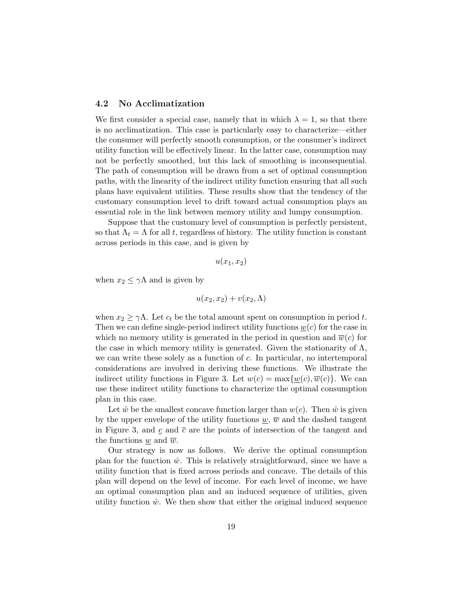# 4.2 No Acclimatization

We first consider a special case, namely that in which  $\lambda = 1$ , so that there is no acclimatization. This case is particularly easy to characterize—either the consumer will perfectly smooth consumption, or the consumer's indirect utility function will be effectively linear. In the latter case, consumption may not be perfectly smoothed, but this lack of smoothing is inconsequential. The path of consumption will be drawn from a set of optimal consumption paths, with the linearity of the indirect utility function ensuring that all such plans have equivalent utilities. These results show that the tendency of the customary consumption level to drift toward actual consumption plays an essential role in the link between memory utility and lumpy consumption.

Suppose that the customary level of consumption is perfectly persistent, so that  $\Lambda_t = \Lambda$  for all t, regardless of history. The utility function is constant across periods in this case, and is given by

$$
u(x_1,x_2)
$$

when  $x_2 \leq \gamma \Lambda$  and is given by

 $u(x_2, x_2) + v(x_2, \Lambda)$ 

when  $x_2 \geq \gamma \Lambda$ . Let  $c_t$  be the total amount spent on consumption in period t. Then we can define single-period indirect utility functions  $\underline{w}(c)$  for the case in which no memory utility is generated in the period in question and  $\overline{w}(c)$  for the case in which memory utility is generated. Given the stationarity of  $\Lambda$ , we can write these solely as a function of  $c$ . In particular, no intertemporal considerations are involved in deriving these functions. We illustrate the indirect utility functions in Figure 3. Let  $w(c) = \max\{w(c), \overline{w}(c)\}\)$ . We can use these indirect utility functions to characterize the optimal consumption plan in this case.

Let  $\hat{w}$  be the smallest concave function larger than  $w(c)$ . Then  $\hat{w}$  is given by the upper envelope of the utility functions  $w, \overline{w}$  and the dashed tangent in Figure 3, and c and  $\bar{c}$  are the points of intersection of the tangent and the functions w and  $\overline{w}$ .

Our strategy is now as follows. We derive the optimal consumption plan for the function  $\hat{w}$ . This is relatively straightforward, since we have a utility function that is fixed across periods and concave. The details of this plan will depend on the level of income. For each level of income, we have an optimal consumption plan and an induced sequence of utilities, given utility function  $\hat{w}$ . We then show that either the original induced sequence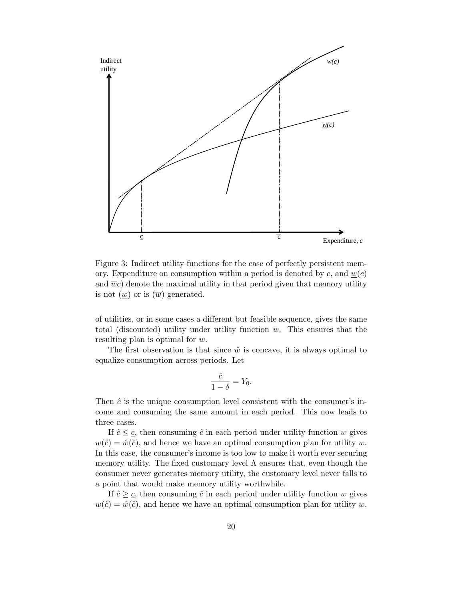

Figure 3: Indirect utility functions for the case of perfectly persistent memory. Expenditure on consumption within a period is denoted by c, and  $w(c)$ and  $\overline{w}c$  denote the maximal utility in that period given that memory utility is not  $(\underline{w})$  or is  $(\overline{w})$  generated.

of utilities, or in some cases a different but feasible sequence, gives the same total (discounted) utility under utility function  $w$ . This ensures that the resulting plan is optimal for w.

The first observation is that since  $\hat{w}$  is concave, it is always optimal to equalize consumption across periods. Let

$$
\frac{\hat{c}}{1-\delta} = Y_0.
$$

Then  $\hat{c}$  is the unique consumption level consistent with the consumer's income and consuming the same amount in each period. This now leads to three cases.

If  $\hat{c} \leq \underline{c}$ , then consuming  $\hat{c}$  in each period under utility function w gives  $w(\hat{c}) = \hat{w}(\hat{c})$ , and hence we have an optimal consumption plan for utility w. In this case, the consumer's income is too low to make it worth ever securing memory utility. The fixed customary level  $\Lambda$  ensures that, even though the consumer never generates memory utility, the customary level never falls to a point that would make memory utility worthwhile.

If  $\hat{c} \geq \underline{c}$ , then consuming  $\hat{c}$  in each period under utility function w gives  $w(\hat{c}) = \hat{w}(\hat{c})$ , and hence we have an optimal consumption plan for utility w.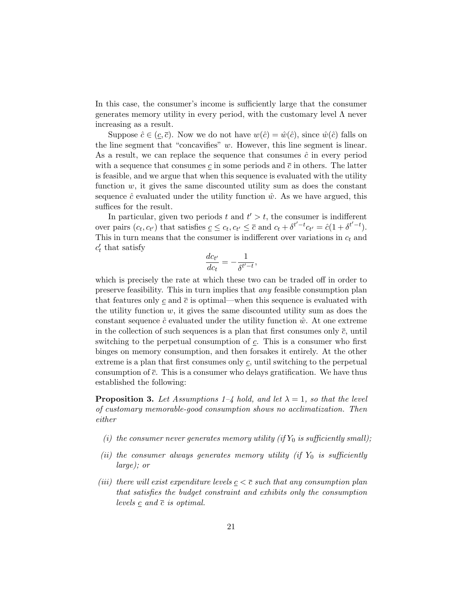In this case, the consumer's income is sufficiently large that the consumer generates memory utility in every period, with the customary level  $\Lambda$  never increasing as a result.

Suppose  $\hat{c} \in (c, \bar{c})$ . Now we do not have  $w(\hat{c}) = \hat{w}(\hat{c})$ , since  $\hat{w}(\hat{c})$  falls on the line segment that "concavifies"  $w$ . However, this line segment is linear. As a result, we can replace the sequence that consumes  $\hat{c}$  in every period with a sequence that consumes  $\underline{c}$  in some periods and  $\overline{c}$  in others. The latter is feasible, and we argue that when this sequence is evaluated with the utility function  $w$ , it gives the same discounted utility sum as does the constant sequence  $\hat{c}$  evaluated under the utility function  $\hat{w}$ . As we have argued, this suffices for the result.

In particular, given two periods t and  $t' > t$ , the consumer is indifferent over pairs  $(c_t, c_{t'})$  that satisfies  $\underline{c} \leq c_t, c_{t'} \leq \overline{c}$  and  $c_t + \delta^{t'-t} c_{t'} = \hat{c}(1 + \delta^{t'-t})$ . This in turn means that the consumer is indifferent over variations in  $c_t$  and  $c_t'$  that satisfy

$$
\frac{dc_{t'}}{dc_t} = -\frac{1}{\delta^{t'-t}},
$$

which is precisely the rate at which these two can be traded off in order to preserve feasibility. This in turn implies that any feasible consumption plan that features only c and  $\bar{c}$  is optimal—when this sequence is evaluated with the utility function  $w$ , it gives the same discounted utility sum as does the constant sequence  $\hat{c}$  evaluated under the utility function  $\hat{w}$ . At one extreme in the collection of such sequences is a plan that first consumes only  $\bar{c}$ , until switching to the perpetual consumption of  $c$ . This is a consumer who first binges on memory consumption, and then forsakes it entirely. At the other extreme is a plan that first consumes only  $c$ , until switching to the perpetual consumption of  $\bar{c}$ . This is a consumer who delays gratification. We have thus established the following:

**Proposition 3.** Let Assumptions 1–4 hold, and let  $\lambda = 1$ , so that the level of customary memorable-good consumption shows no acclimatization. Then either

- (i) the consumer never generates memory utility (if  $Y_0$  is sufficiently small);
- (ii) the consumer always generates memory utility (if  $Y_0$  is sufficiently large); or
- (iii) there will exist expenditure levels  $c < \overline{c}$  such that any consumption plan that satisfies the budget constraint and exhibits only the consumption levels  $\underline{c}$  and  $\overline{c}$  is optimal.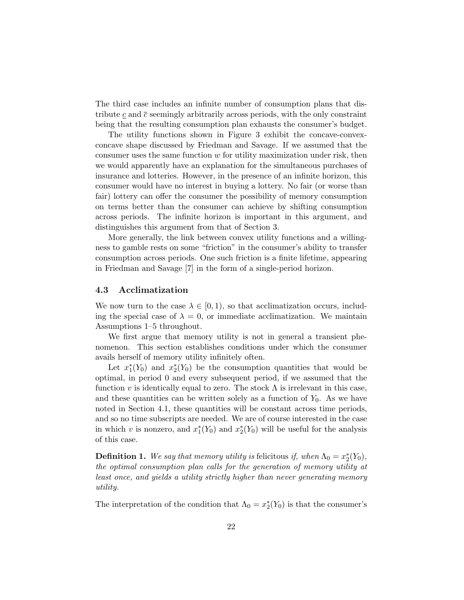The third case includes an infinite number of consumption plans that distribute  $c$  and  $\bar{c}$  seemingly arbitrarily across periods, with the only constraint being that the resulting consumption plan exhausts the consumer's budget.

The utility functions shown in Figure 3 exhibit the concave-convexconcave shape discussed by Friedman and Savage. If we assumed that the consumer uses the same function  $w$  for utility maximization under risk, then we would apparently have an explanation for the simultaneous purchases of insurance and lotteries. However, in the presence of an infinite horizon, this consumer would have no interest in buying a lottery. No fair (or worse than fair) lottery can offer the consumer the possibility of memory consumption on terms better than the consumer can achieve by shifting consumption across periods. The infinite horizon is important in this argument, and distinguishes this argument from that of Section 3.

More generally, the link between convex utility functions and a willingness to gamble rests on some "friction" in the consumer's ability to transfer consumption across periods. One such friction is a finite lifetime, appearing in Friedman and Savage [7] in the form of a single-period horizon.

#### 4.3 Acclimatization

We now turn to the case  $\lambda \in [0, 1)$ , so that acclimatization occurs, including the special case of  $\lambda = 0$ , or immediate acclimatization. We maintain Assumptions 1–5 throughout.

We first argue that memory utility is not in general a transient phenomenon. This section establishes conditions under which the consumer avails herself of memory utility infinitely often.

Let  $x_1^*(Y_0)$  and  $x_2^*(Y_0)$  be the consumption quantities that would be optimal, in period 0 and every subsequent period, if we assumed that the function v is identically equal to zero. The stock  $\Lambda$  is irrelevant in this case, and these quantities can be written solely as a function of  $Y_0$ . As we have noted in Section 4.1, these quantities will be constant across time periods, and so no time subscripts are needed. We are of course interested in the case in which v is nonzero, and  $x_1^*(Y_0)$  and  $x_2^*(Y_0)$  will be useful for the analysis of this case.

**Definition 1.** We say that memory utility is felicitous if, when  $\Lambda_0 = x_2^*(Y_0)$ , the optimal consumption plan calls for the generation of memory utility at least once, and yields a utility strictly higher than never generating memory utility.

The interpretation of the condition that  $\Lambda_0 = x_2^*(Y_0)$  is that the consumer's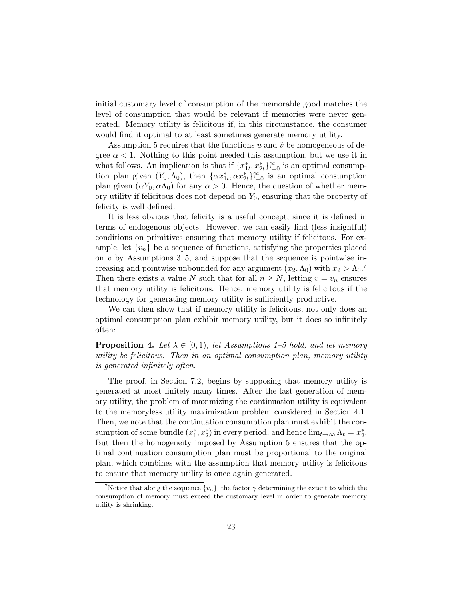initial customary level of consumption of the memorable good matches the level of consumption that would be relevant if memories were never generated. Memory utility is felicitous if, in this circumstance, the consumer would find it optimal to at least sometimes generate memory utility.

Assumption 5 requires that the functions u and  $\check{v}$  be homogeneous of degree  $\alpha$  < 1. Nothing to this point needed this assumption, but we use it in what follows. An implication is that if  ${x}_{1t}^*, x_{2t}^*$  is an optimal consumption plan given  $(Y_0, \Lambda_0)$ , then  $\{\alpha x_{1t}^*, \alpha x_{2t}^*\}_{t=0}^\infty$  is an optimal consumption plan given  $(\alpha Y_0, \alpha \Lambda_0)$  for any  $\alpha > 0$ . Hence, the question of whether memory utility if felicitous does not depend on  $Y_0$ , ensuring that the property of felicity is well defined.

It is less obvious that felicity is a useful concept, since it is defined in terms of endogenous objects. However, we can easily find (less insightful) conditions on primitives ensuring that memory utility if felicitous. For example, let  $\{v_n\}$  be a sequence of functions, satisfying the properties placed on  $v$  by Assumptions 3–5, and suppose that the sequence is pointwise increasing and pointwise unbounded for any argument  $(x_2, \Lambda_0)$  with  $x_2 > \Lambda_0$ .<sup>7</sup> Then there exists a value N such that for all  $n \geq N$ , letting  $v = v_n$  ensures that memory utility is felicitous. Hence, memory utility is felicitous if the technology for generating memory utility is sufficiently productive.

We can then show that if memory utility is felicitous, not only does an optimal consumption plan exhibit memory utility, but it does so infinitely often:

**Proposition 4.** Let  $\lambda \in [0, 1)$ , let Assumptions 1–5 hold, and let memory utility be felicitous. Then in an optimal consumption plan, memory utility is generated infinitely often.

The proof, in Section 7.2, begins by supposing that memory utility is generated at most finitely many times. After the last generation of memory utility, the problem of maximizing the continuation utility is equivalent to the memoryless utility maximization problem considered in Section 4.1. Then, we note that the continuation consumption plan must exhibit the consumption of some bundle  $(x_1^*, x_2^*)$  in every period, and hence  $\lim_{t\to\infty} \Lambda_t = x_2^*$ . But then the homogeneity imposed by Assumption 5 ensures that the optimal continuation consumption plan must be proportional to the original plan, which combines with the assumption that memory utility is felicitous to ensure that memory utility is once again generated.

<sup>&</sup>lt;sup>7</sup>Notice that along the sequence  $\{v_n\}$ , the factor  $\gamma$  determining the extent to which the consumption of memory must exceed the customary level in order to generate memory utility is shrinking.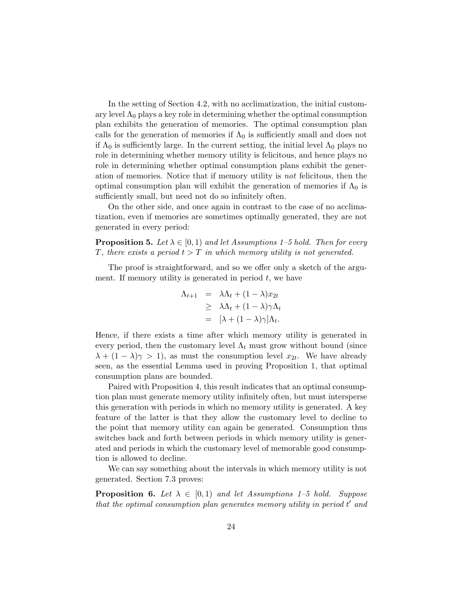In the setting of Section 4.2, with no acclimatization, the initial customary level  $\Lambda_0$  plays a key role in determining whether the optimal consumption plan exhibits the generation of memories. The optimal consumption plan calls for the generation of memories if  $\Lambda_0$  is sufficiently small and does not if  $\Lambda_0$  is sufficiently large. In the current setting, the initial level  $\Lambda_0$  plays no role in determining whether memory utility is felicitous, and hence plays no role in determining whether optimal consumption plans exhibit the generation of memories. Notice that if memory utility is not felicitous, then the optimal consumption plan will exhibit the generation of memories if  $\Lambda_0$  is sufficiently small, but need not do so infinitely often.

On the other side, and once again in contrast to the case of no acclimatization, even if memories are sometimes optimally generated, they are not generated in every period:

**Proposition 5.** Let  $\lambda \in [0, 1)$  and let Assumptions 1–5 hold. Then for every T, there exists a period  $t > T$  in which memory utility is not generated.

The proof is straightforward, and so we offer only a sketch of the argument. If memory utility is generated in period  $t$ , we have

$$
\Lambda_{t+1} = \lambda \Lambda_t + (1 - \lambda)x_{2t}
$$
  
\n
$$
\geq \lambda \Lambda_t + (1 - \lambda)\gamma \Lambda_t
$$
  
\n
$$
= [\lambda + (1 - \lambda)\gamma] \Lambda_t.
$$

Hence, if there exists a time after which memory utility is generated in every period, then the customary level  $\Lambda_t$  must grow without bound (since  $\lambda + (1 - \lambda)\gamma > 1$ , as must the consumption level  $x_{2t}$ . We have already seen, as the essential Lemma used in proving Proposition 1, that optimal consumption plans are bounded.

Paired with Proposition 4, this result indicates that an optimal consumption plan must generate memory utility infinitely often, but must intersperse this generation with periods in which no memory utility is generated. A key feature of the latter is that they allow the customary level to decline to the point that memory utility can again be generated. Consumption thus switches back and forth between periods in which memory utility is generated and periods in which the customary level of memorable good consumption is allowed to decline.

We can say something about the intervals in which memory utility is not generated. Section 7.3 proves:

**Proposition 6.** Let  $\lambda \in [0,1)$  and let Assumptions 1–5 hold. Suppose that the optimal consumption plan generates memory utility in period  $t'$  and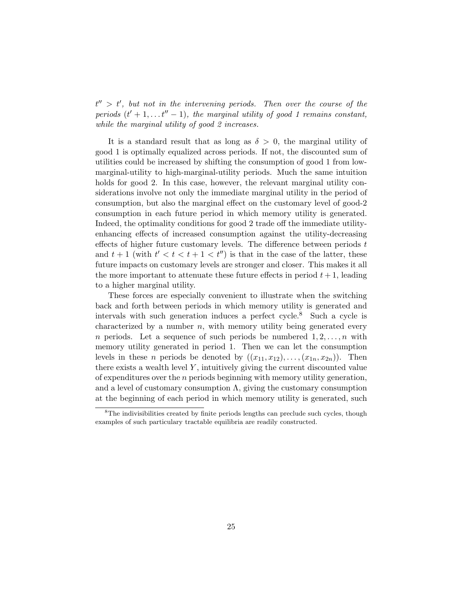$t'' > t'$ , but not in the intervening periods. Then over the course of the periods  $(t' + 1, \ldots t'' - 1)$ , the marginal utility of good 1 remains constant, while the marginal utility of good 2 increases.

It is a standard result that as long as  $\delta > 0$ , the marginal utility of good 1 is optimally equalized across periods. If not, the discounted sum of utilities could be increased by shifting the consumption of good 1 from lowmarginal-utility to high-marginal-utility periods. Much the same intuition holds for good 2. In this case, however, the relevant marginal utility considerations involve not only the immediate marginal utility in the period of consumption, but also the marginal effect on the customary level of good-2 consumption in each future period in which memory utility is generated. Indeed, the optimality conditions for good 2 trade off the immediate utilityenhancing effects of increased consumption against the utility-decreasing effects of higher future customary levels. The difference between periods  $t$ and  $t+1$  (with  $t' < t < t+1 < t''$ ) is that in the case of the latter, these future impacts on customary levels are stronger and closer. This makes it all the more important to attenuate these future effects in period  $t + 1$ , leading to a higher marginal utility.

These forces are especially convenient to illustrate when the switching back and forth between periods in which memory utility is generated and intervals with such generation induces a perfect cycle.<sup>8</sup> Such a cycle is characterized by a number  $n$ , with memory utility being generated every *n* periods. Let a sequence of such periods be numbered  $1, 2, \ldots, n$  with memory utility generated in period 1. Then we can let the consumption levels in these *n* periods be denoted by  $((x_{11}, x_{12}), \ldots, (x_{1n}, x_{2n}))$ . Then there exists a wealth level  $Y$ , intuitively giving the current discounted value of expenditures over the  $n$  periods beginning with memory utility generation, and a level of customary consumption  $\Lambda$ , giving the customary consumption at the beginning of each period in which memory utility is generated, such

<sup>&</sup>lt;sup>8</sup>The indivisibilities created by finite periods lengths can preclude such cycles, though examples of such particulary tractable equilibria are readily constructed.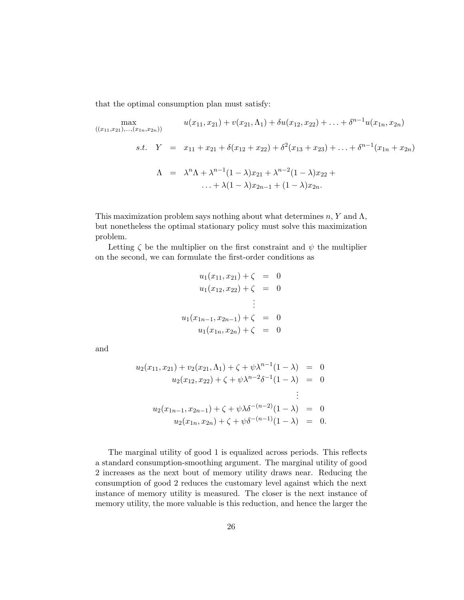that the optimal consumption plan must satisfy:

$$
\max_{((x_{11}, x_{21}), \dots, (x_{1n}, x_{2n}))} u(x_{11}, x_{21}) + v(x_{21}, \Lambda_1) + \delta u(x_{12}, x_{22}) + \dots + \delta^{n-1} u(x_{1n}, x_{2n})
$$
  
s.t.  $Y = x_{11} + x_{21} + \delta(x_{12} + x_{22}) + \delta^2(x_{13} + x_{23}) + \dots + \delta^{n-1}(x_{1n} + x_{2n})$   

$$
\Lambda = \lambda^n \Lambda + \lambda^{n-1} (1 - \lambda) x_{21} + \lambda^{n-2} (1 - \lambda) x_{22} + \dots + \lambda (1 - \lambda) x_{2n-1} + (1 - \lambda) x_{2n}.
$$

This maximization problem says nothing about what determines  $n, Y$  and  $\Lambda$ , but nonetheless the optimal stationary policy must solve this maximization problem.

Letting  $\zeta$  be the multiplier on the first constraint and  $\psi$  the multiplier on the second, we can formulate the first-order conditions as

$$
u_1(x_{11}, x_{21}) + \zeta = 0
$$
  
\n
$$
u_1(x_{12}, x_{22}) + \zeta = 0
$$
  
\n
$$
\vdots
$$
  
\n
$$
u_1(x_{1n-1}, x_{2n-1}) + \zeta = 0
$$
  
\n
$$
u_1(x_{1n}, x_{2n}) + \zeta = 0
$$

and

$$
u_2(x_{11}, x_{21}) + v_2(x_{21}, \Lambda_1) + \zeta + \psi \lambda^{n-1} (1 - \lambda) = 0
$$
  
\n
$$
u_2(x_{12}, x_{22}) + \zeta + \psi \lambda^{n-2} \delta^{-1} (1 - \lambda) = 0
$$
  
\n
$$
\vdots
$$
  
\n
$$
u_2(x_{1n-1}, x_{2n-1}) + \zeta + \psi \lambda \delta^{-(n-2)} (1 - \lambda) = 0
$$
  
\n
$$
u_2(x_{1n}, x_{2n}) + \zeta + \psi \delta^{-(n-1)} (1 - \lambda) = 0.
$$

The marginal utility of good 1 is equalized across periods. This reflects a standard consumption-smoothing argument. The marginal utility of good 2 increases as the next bout of memory utility draws near. Reducing the consumption of good 2 reduces the customary level against which the next instance of memory utility is measured. The closer is the next instance of memory utility, the more valuable is this reduction, and hence the larger the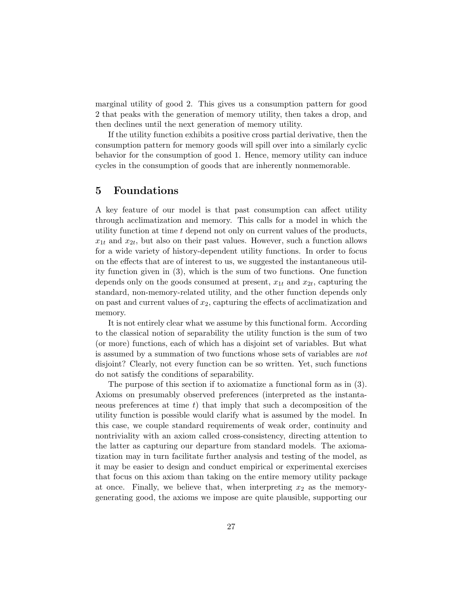marginal utility of good 2. This gives us a consumption pattern for good 2 that peaks with the generation of memory utility, then takes a drop, and then declines until the next generation of memory utility.

If the utility function exhibits a positive cross partial derivative, then the consumption pattern for memory goods will spill over into a similarly cyclic behavior for the consumption of good 1. Hence, memory utility can induce cycles in the consumption of goods that are inherently nonmemorable.

# 5 Foundations

A key feature of our model is that past consumption can affect utility through acclimatization and memory. This calls for a model in which the utility function at time t depend not only on current values of the products,  $x_{1t}$  and  $x_{2t}$ , but also on their past values. However, such a function allows for a wide variety of history-dependent utility functions. In order to focus on the effects that are of interest to us, we suggested the instantaneous utility function given in (3), which is the sum of two functions. One function depends only on the goods consumed at present,  $x_{1t}$  and  $x_{2t}$ , capturing the standard, non-memory-related utility, and the other function depends only on past and current values of  $x_2$ , capturing the effects of acclimatization and memory.

It is not entirely clear what we assume by this functional form. According to the classical notion of separability the utility function is the sum of two (or more) functions, each of which has a disjoint set of variables. But what is assumed by a summation of two functions whose sets of variables are not disjoint? Clearly, not every function can be so written. Yet, such functions do not satisfy the conditions of separability.

The purpose of this section if to axiomatize a functional form as in (3). Axioms on presumably observed preferences (interpreted as the instantaneous preferences at time t) that imply that such a decomposition of the utility function is possible would clarify what is assumed by the model. In this case, we couple standard requirements of weak order, continuity and nontriviality with an axiom called cross-consistency, directing attention to the latter as capturing our departure from standard models. The axiomatization may in turn facilitate further analysis and testing of the model, as it may be easier to design and conduct empirical or experimental exercises that focus on this axiom than taking on the entire memory utility package at once. Finally, we believe that, when interpreting  $x_2$  as the memorygenerating good, the axioms we impose are quite plausible, supporting our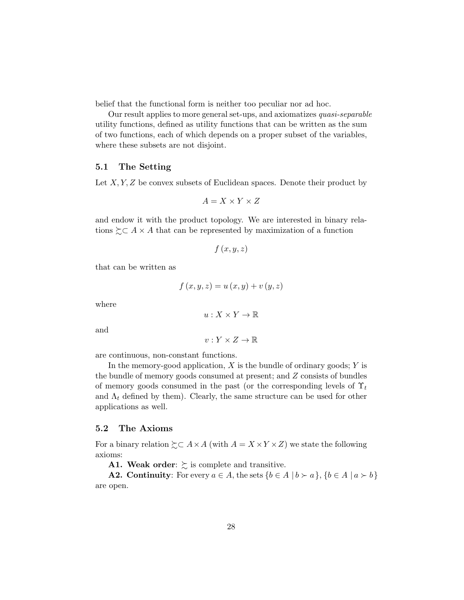belief that the functional form is neither too peculiar nor ad hoc.

Our result applies to more general set-ups, and axiomatizes quasi-separable utility functions, defined as utility functions that can be written as the sum of two functions, each of which depends on a proper subset of the variables, where these subsets are not disjoint.

# 5.1 The Setting

Let  $X, Y, Z$  be convex subsets of Euclidean spaces. Denote their product by

$$
A=X\times Y\times Z
$$

and endow it with the product topology. We are interested in binary relations  $\sum A \times A$  that can be represented by maximization of a function

$$
f(x,y,z)
$$

that can be written as

$$
f(x, y, z) = u(x, y) + v(y, z)
$$

where

$$
u:X\times Y\to\mathbb{R}
$$

and

$$
v: Y \times Z \to \mathbb{R}
$$

are continuous, non-constant functions.

In the memory-good application,  $X$  is the bundle of ordinary goods;  $Y$  is the bundle of memory goods consumed at present; and Z consists of bundles of memory goods consumed in the past (or the corresponding levels of  $\Upsilon_t$ and  $\Lambda_t$  defined by them). Clearly, the same structure can be used for other applications as well.

#### 5.2 The Axioms

For a binary relation  $\succsim \subset A \times A$  (with  $A = X \times Y \times Z$ ) we state the following axioms:

A1. Weak order:  $\gtrsim$  is complete and transitive.

**A2.** Continuity: For every  $a \in A$ , the sets  $\{b \in A \mid b \succ a\}$ ,  $\{b \in A \mid a \succ b\}$ are open.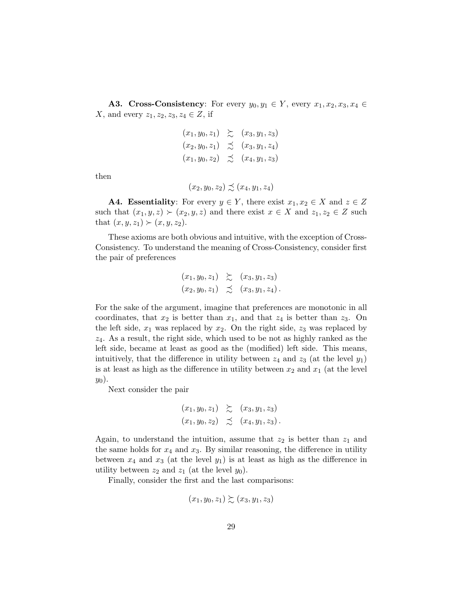A3. Cross-Consistency: For every  $y_0, y_1 \in Y$ , every  $x_1, x_2, x_3, x_4 \in Y$ X, and every  $z_1, z_2, z_3, z_4 \in Z$ , if

$$
(x_1, y_0, z_1) \geq (x_3, y_1, z_3)
$$
  
\n $(x_2, y_0, z_1) \geq (x_3, y_1, z_4)$   
\n $(x_1, y_0, z_2) \geq (x_4, y_1, z_3)$ 

then

$$
(x_2, y_0, z_2) \precsim (x_4, y_1, z_4)
$$

**A4. Essentiality:** For every  $y \in Y$ , there exist  $x_1, x_2 \in X$  and  $z \in Z$ such that  $(x_1, y, z) \succ (x_2, y, z)$  and there exist  $x \in X$  and  $z_1, z_2 \in Z$  such that  $(x, y, z_1) \succ (x, y, z_2)$ .

These axioms are both obvious and intuitive, with the exception of Cross-Consistency. To understand the meaning of Cross-Consistency, consider first the pair of preferences

$$
(x_1, y_0, z_1) \geq (x_3, y_1, z_3)
$$
  
 $(x_2, y_0, z_1) \geq (x_3, y_1, z_4).$ 

For the sake of the argument, imagine that preferences are monotonic in all coordinates, that  $x_2$  is better than  $x_1$ , and that  $z_4$  is better than  $z_3$ . On the left side,  $x_1$  was replaced by  $x_2$ . On the right side,  $z_3$  was replaced by  $z_4$ . As a result, the right side, which used to be not as highly ranked as the left side, became at least as good as the (modified) left side. This means, intuitively, that the difference in utility between  $z_4$  and  $z_3$  (at the level  $y_1$ ) is at least as high as the difference in utility between  $x_2$  and  $x_1$  (at the level  $y_0$ ).

Next consider the pair

$$
(x_1, y_0, z_1) \geq (x_3, y_1, z_3)
$$
  
 $(x_1, y_0, z_2) \geq (x_4, y_1, z_3).$ 

Again, to understand the intuition, assume that  $z_2$  is better than  $z_1$  and the same holds for  $x_4$  and  $x_3$ . By similar reasoning, the difference in utility between  $x_4$  and  $x_3$  (at the level  $y_1$ ) is at least as high as the difference in utility between  $z_2$  and  $z_1$  (at the level  $y_0$ ).

Finally, consider the first and the last comparisons:

$$
(x_1,y_0,z_1)\succsim(x_3,y_1,z_3)
$$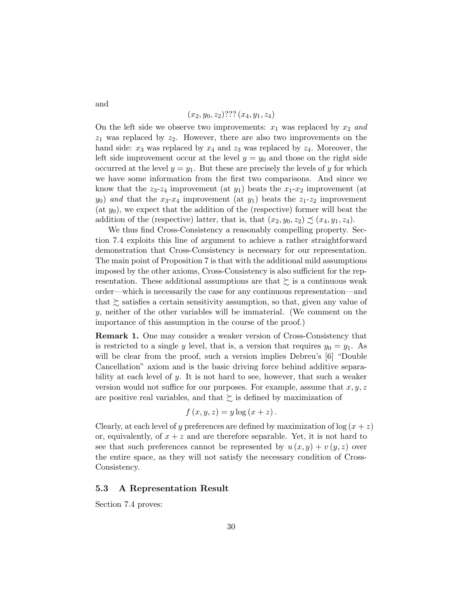$(x_2, y_0, z_2)$ ???  $(x_4, y_1, z_4)$ 

On the left side we observe two improvements:  $x_1$  was replaced by  $x_2$  and  $z_1$  was replaced by  $z_2$ . However, there are also two improvements on the hand side:  $x_3$  was replaced by  $x_4$  and  $z_3$  was replaced by  $z_4$ . Moreover, the left side improvement occur at the level  $y = y_0$  and those on the right side occurred at the level  $y = y_1$ . But these are precisely the levels of y for which we have some information from the first two comparisons. And since we know that the  $z_3-z_4$  improvement (at  $y_1$ ) beats the  $x_1-x_2$  improvement (at  $y_0$ ) and that the  $x_3-x_4$  improvement (at  $y_1$ ) beats the  $z_1-z_2$  improvement (at  $y_0$ ), we expect that the addition of the (respective) former will beat the addition of the (respective) latter, that is, that  $(x_2, y_0, z_2) \precsim (x_4, y_1, z_4)$ .

We thus find Cross-Consistency a reasonably compelling property. Section 7.4 exploits this line of argument to achieve a rather straightforward demonstration that Cross-Consistency is necessary for our representation. The main point of Proposition 7 is that with the additional mild assumptions imposed by the other axioms, Cross-Consistency is also sufficient for the representation. These additional assumptions are that  $\succsim$  is a continuous weak order—which is necessarily the case for any continuous representation—and that  $\succsim$  satisfies a certain sensitivity assumption, so that, given any value of y, neither of the other variables will be immaterial. (We comment on the importance of this assumption in the course of the proof.)

Remark 1. One may consider a weaker version of Cross-Consistency that is restricted to a single y level, that is, a version that requires  $y_0 = y_1$ . As will be clear from the proof, such a version implies Debreu's [6] "Double" Cancellation" axiom and is the basic driving force behind additive separability at each level of y. It is not hard to see, however, that such a weaker version would not suffice for our purposes. For example, assume that  $x, y, z$ are positive real variables, and that  $\succeq$  is defined by maximization of

$$
f(x, y, z) = y \log (x + z).
$$

Clearly, at each level of y preferences are defined by maximization of  $\log(x + z)$ or, equivalently, of  $x + z$  and are therefore separable. Yet, it is not hard to see that such preferences cannot be represented by  $u(x, y) + v(y, z)$  over the entire space, as they will not satisfy the necessary condition of Cross-Consistency.

# 5.3 A Representation Result

Section 7.4 proves:

and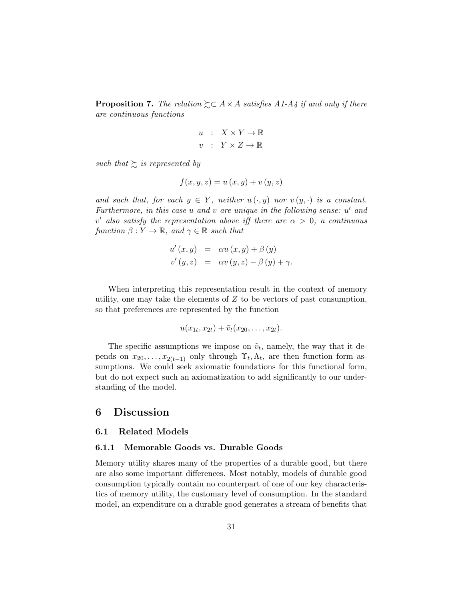**Proposition 7.** The relation  $\succsim \subset A \times A$  satisfies A1-A4 if and only if there are continuous functions

$$
\begin{array}{rcl} u & : & X \times Y \to \mathbb{R} \\ v & : & Y \times Z \to \mathbb{R} \end{array}
$$

such that  $\sum$  is represented by

$$
f(x, y, z) = u(x, y) + v(y, z)
$$

and such that, for each  $y \in Y$ , neither  $u(\cdot, y)$  nor  $v(y, \cdot)$  is a constant. Furthermore, in this case  $u$  and  $v$  are unique in the following sense:  $u'$  and v' also satisfy the representation above iff there are  $\alpha > 0$ , a continuous function  $\beta: Y \to \mathbb{R}$ , and  $\gamma \in \mathbb{R}$  such that

$$
u'(x, y) = \alpha u(x, y) + \beta(y)
$$
  
\n
$$
v'(y, z) = \alpha v(y, z) - \beta(y) + \gamma.
$$

When interpreting this representation result in the context of memory utility, one may take the elements of  $Z$  to be vectors of past consumption, so that preferences are represented by the function

$$
u(x_{1t}, x_{2t}) + \tilde{v}_t(x_{20}, \ldots, x_{2t}).
$$

The specific assumptions we impose on  $\tilde{v}_t$ , namely, the way that it depends on  $x_{20}, \ldots, x_{2(t-1)}$  only through  $\Upsilon_t, \Lambda_t$ , are then function form assumptions. We could seek axiomatic foundations for this functional form, but do not expect such an axiomatization to add significantly to our understanding of the model.

# 6 Discussion

#### 6.1 Related Models

#### 6.1.1 Memorable Goods vs. Durable Goods

Memory utility shares many of the properties of a durable good, but there are also some important differences. Most notably, models of durable good consumption typically contain no counterpart of one of our key characteristics of memory utility, the customary level of consumption. In the standard model, an expenditure on a durable good generates a stream of benefits that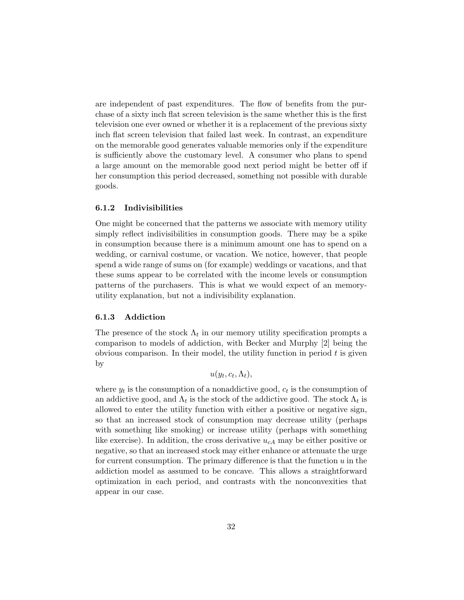are independent of past expenditures. The flow of benefits from the purchase of a sixty inch flat screen television is the same whether this is the first television one ever owned or whether it is a replacement of the previous sixty inch flat screen television that failed last week. In contrast, an expenditure on the memorable good generates valuable memories only if the expenditure is sufficiently above the customary level. A consumer who plans to spend a large amount on the memorable good next period might be better off if her consumption this period decreased, something not possible with durable goods.

## 6.1.2 Indivisibilities

One might be concerned that the patterns we associate with memory utility simply reflect indivisibilities in consumption goods. There may be a spike in consumption because there is a minimum amount one has to spend on a wedding, or carnival costume, or vacation. We notice, however, that people spend a wide range of sums on (for example) weddings or vacations, and that these sums appear to be correlated with the income levels or consumption patterns of the purchasers. This is what we would expect of an memoryutility explanation, but not a indivisibility explanation.

#### 6.1.3 Addiction

The presence of the stock  $\Lambda_t$  in our memory utility specification prompts a comparison to models of addiction, with Becker and Murphy [2] being the obvious comparison. In their model, the utility function in period  $t$  is given by

 $u(y_t, c_t, \Lambda_t),$ 

where  $y_t$  is the consumption of a nonaddictive good,  $c_t$  is the consumption of an addictive good, and  $\Lambda_t$  is the stock of the addictive good. The stock  $\Lambda_t$  is allowed to enter the utility function with either a positive or negative sign, so that an increased stock of consumption may decrease utility (perhaps with something like smoking) or increase utility (perhaps with something like exercise). In addition, the cross derivative  $u_{cA}$  may be either positive or negative, so that an increased stock may either enhance or attenuate the urge for current consumption. The primary difference is that the function  $u$  in the addiction model as assumed to be concave. This allows a straightforward optimization in each period, and contrasts with the nonconvexities that appear in our case.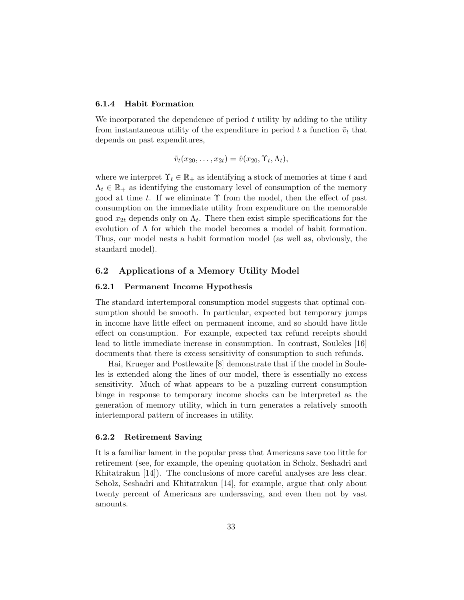# 6.1.4 Habit Formation

We incorporated the dependence of period  $t$  utility by adding to the utility from instantaneous utility of the expenditure in period t a function  $\tilde{v}_t$  that depends on past expenditures,

$$
\tilde{v}_t(x_{20},\ldots,x_{2t})=\hat{v}(x_{20},\Upsilon_t,\Lambda_t),
$$

where we interpret  $\Upsilon_t \in \mathbb{R}_+$  as identifying a stock of memories at time t and  $\Lambda_t \in \mathbb{R}_+$  as identifying the customary level of consumption of the memory good at time t. If we eliminate  $\Upsilon$  from the model, then the effect of past consumption on the immediate utility from expenditure on the memorable good  $x_{2t}$  depends only on  $\Lambda_t$ . There then exist simple specifications for the evolution of Λ for which the model becomes a model of habit formation. Thus, our model nests a habit formation model (as well as, obviously, the standard model).

# 6.2 Applications of a Memory Utility Model

## 6.2.1 Permanent Income Hypothesis

The standard intertemporal consumption model suggests that optimal consumption should be smooth. In particular, expected but temporary jumps in income have little effect on permanent income, and so should have little effect on consumption. For example, expected tax refund receipts should lead to little immediate increase in consumption. In contrast, Souleles [16] documents that there is excess sensitivity of consumption to such refunds.

Hai, Krueger and Postlewaite [8] demonstrate that if the model in Souleles is extended along the lines of our model, there is essentially no excess sensitivity. Much of what appears to be a puzzling current consumption binge in response to temporary income shocks can be interpreted as the generation of memory utility, which in turn generates a relatively smooth intertemporal pattern of increases in utility.

#### 6.2.2 Retirement Saving

It is a familiar lament in the popular press that Americans save too little for retirement (see, for example, the opening quotation in Scholz, Seshadri and Khitatrakun [14]). The conclusions of more careful analyses are less clear. Scholz, Seshadri and Khitatrakun [14], for example, argue that only about twenty percent of Americans are undersaving, and even then not by vast amounts.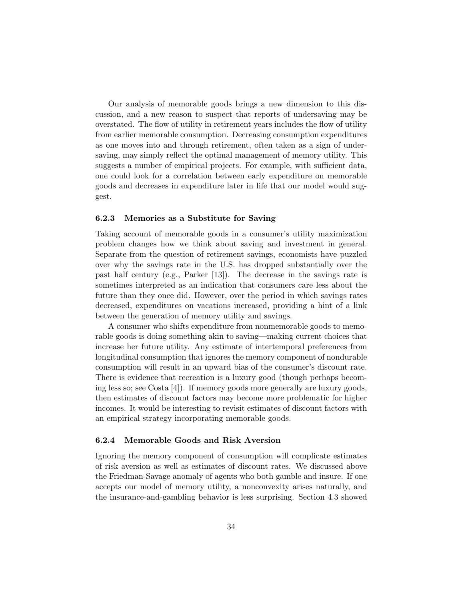Our analysis of memorable goods brings a new dimension to this discussion, and a new reason to suspect that reports of undersaving may be overstated. The flow of utility in retirement years includes the flow of utility from earlier memorable consumption. Decreasing consumption expenditures as one moves into and through retirement, often taken as a sign of undersaving, may simply reflect the optimal management of memory utility. This suggests a number of empirical projects. For example, with sufficient data, one could look for a correlation between early expenditure on memorable goods and decreases in expenditure later in life that our model would suggest.

#### 6.2.3 Memories as a Substitute for Saving

Taking account of memorable goods in a consumer's utility maximization problem changes how we think about saving and investment in general. Separate from the question of retirement savings, economists have puzzled over why the savings rate in the U.S. has dropped substantially over the past half century (e.g., Parker [13]). The decrease in the savings rate is sometimes interpreted as an indication that consumers care less about the future than they once did. However, over the period in which savings rates decreased, expenditures on vacations increased, providing a hint of a link between the generation of memory utility and savings.

A consumer who shifts expenditure from nonmemorable goods to memorable goods is doing something akin to saving—making current choices that increase her future utility. Any estimate of intertemporal preferences from longitudinal consumption that ignores the memory component of nondurable consumption will result in an upward bias of the consumer's discount rate. There is evidence that recreation is a luxury good (though perhaps becoming less so; see Costa [4]). If memory goods more generally are luxury goods, then estimates of discount factors may become more problematic for higher incomes. It would be interesting to revisit estimates of discount factors with an empirical strategy incorporating memorable goods.

#### 6.2.4 Memorable Goods and Risk Aversion

Ignoring the memory component of consumption will complicate estimates of risk aversion as well as estimates of discount rates. We discussed above the Friedman-Savage anomaly of agents who both gamble and insure. If one accepts our model of memory utility, a nonconvexity arises naturally, and the insurance-and-gambling behavior is less surprising. Section 4.3 showed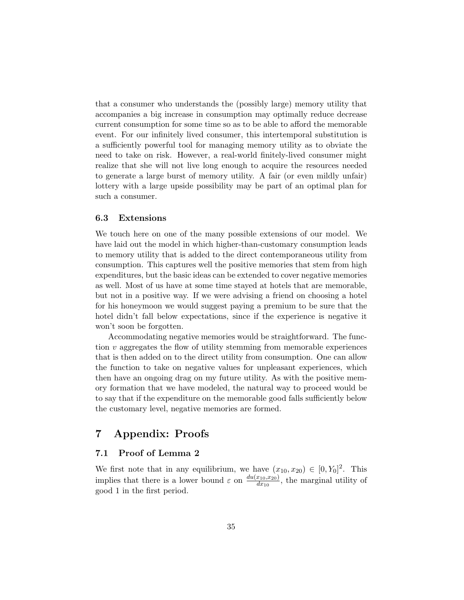that a consumer who understands the (possibly large) memory utility that accompanies a big increase in consumption may optimally reduce decrease current consumption for some time so as to be able to afford the memorable event. For our infinitely lived consumer, this intertemporal substitution is a sufficiently powerful tool for managing memory utility as to obviate the need to take on risk. However, a real-world finitely-lived consumer might realize that she will not live long enough to acquire the resources needed to generate a large burst of memory utility. A fair (or even mildly unfair) lottery with a large upside possibility may be part of an optimal plan for such a consumer.

#### 6.3 Extensions

We touch here on one of the many possible extensions of our model. We have laid out the model in which higher-than-customary consumption leads to memory utility that is added to the direct contemporaneous utility from consumption. This captures well the positive memories that stem from high expenditures, but the basic ideas can be extended to cover negative memories as well. Most of us have at some time stayed at hotels that are memorable, but not in a positive way. If we were advising a friend on choosing a hotel for his honeymoon we would suggest paying a premium to be sure that the hotel didn't fall below expectations, since if the experience is negative it won't soon be forgotten.

Accommodating negative memories would be straightforward. The function  $v$  aggregates the flow of utility stemming from memorable experiences that is then added on to the direct utility from consumption. One can allow the function to take on negative values for unpleasant experiences, which then have an ongoing drag on my future utility. As with the positive memory formation that we have modeled, the natural way to proceed would be to say that if the expenditure on the memorable good falls sufficiently below the customary level, negative memories are formed.

# 7 Appendix: Proofs

# 7.1 Proof of Lemma 2

We first note that in any equilibrium, we have  $(x_{10}, x_{20}) \in [0, Y_0]^2$ . This implies that there is a lower bound  $\varepsilon$  on  $\frac{du(x_{10},x_{20})}{dx_{10}}$  $\frac{x_{10}, x_{20}}{dx_{10}}$ , the marginal utility of good 1 in the first period.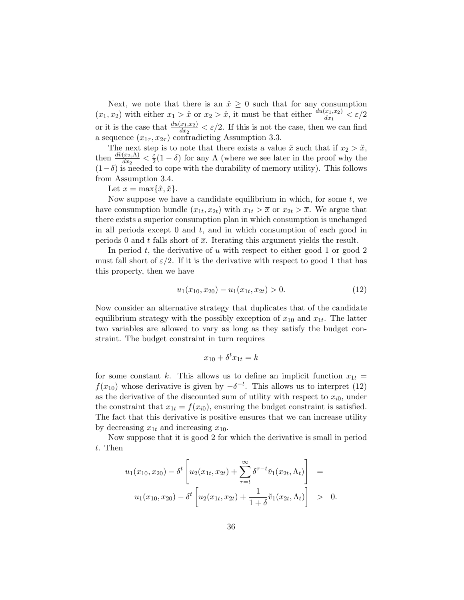Next, we note that there is an  $\hat{x} \geq 0$  such that for any consumption  $(x_1, x_2)$  with either  $x_1 > \hat{x}$  or  $x_2 > \hat{x}$ , it must be that either  $\frac{du(x_1, x_2)}{dx_1} < \varepsilon/2$ or it is the case that  $\frac{du(x_1,x_2)}{dx_2} < \varepsilon/2$ . If this is not the case, then we can find a sequence  $(x_{1\tau}, x_{2\tau})$  contradicting Assumption 3.3.

The next step is to note that there exists a value  $\check{x}$  such that if  $x_2 > \check{x}$ , then  $\frac{d\breve{v}(x_2,\Lambda)}{dx_2} < \frac{\varepsilon}{2}$  $\frac{\varepsilon}{2}(1-\delta)$  for any  $\Lambda$  (where we see later in the proof why the  $(1-\delta)$  is needed to cope with the durability of memory utility). This follows from Assumption 3.4.

Let  $\overline{x} = \max\{\hat{x}, \check{x}\}.$ 

Now suppose we have a candidate equilibrium in which, for some  $t$ , we have consumption bundle  $(x_{1t}, x_{2t})$  with  $x_{1t} > \overline{x}$  or  $x_{2t} > \overline{x}$ . We argue that there exists a superior consumption plan in which consumption is unchanged in all periods except  $0$  and  $t$ , and in which consumption of each good in periods 0 and t falls short of  $\bar{x}$ . Iterating this argument yields the result.

In period t, the derivative of u with respect to either good 1 or good 2 must fall short of  $\varepsilon/2$ . If it is the derivative with respect to good 1 that has this property, then we have

$$
u_1(x_{10}, x_{20}) - u_1(x_{1t}, x_{2t}) > 0.
$$
\n<sup>(12)</sup>

Now consider an alternative strategy that duplicates that of the candidate equilibrium strategy with the possibly exception of  $x_{10}$  and  $x_{1t}$ . The latter two variables are allowed to vary as long as they satisfy the budget constraint. The budget constraint in turn requires

$$
x_{10} + \delta^t x_{1t} = k
$$

for some constant k. This allows us to define an implicit function  $x_{1t} =$  $f(x_{10})$  whose derivative is given by  $-\delta^{-t}$ . This allows us to interpret (12) as the derivative of the discounted sum of utility with respect to  $x_{i0}$ , under the constraint that  $x_{1t} = f(x_{i0})$ , ensuring the budget constraint is satisfied. The fact that this derivative is positive ensures that we can increase utility by decreasing  $x_{1t}$  and increasing  $x_{10}$ .

Now suppose that it is good 2 for which the derivative is small in period t. Then

$$
u_1(x_{10}, x_{20}) - \delta^t \left[ u_2(x_{1t}, x_{2t}) + \sum_{\tau=t}^{\infty} \delta^{\tau-t} \breve{v}_1(x_{2t}, \Lambda_t) \right] =
$$
  

$$
u_1(x_{10}, x_{20}) - \delta^t \left[ u_2(x_{1t}, x_{2t}) + \frac{1}{1+\delta} \breve{v}_1(x_{2t}, \Lambda_t) \right] > 0.
$$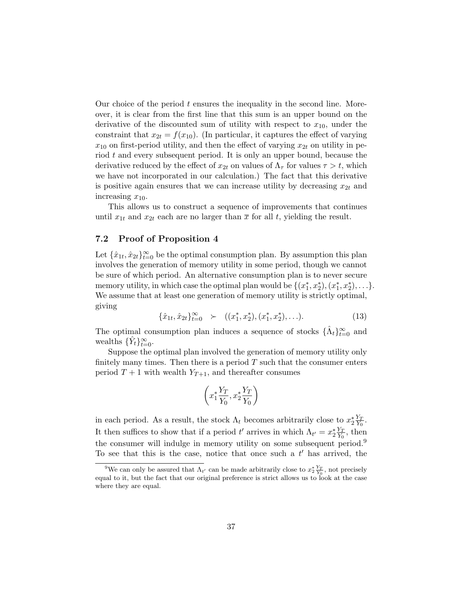Our choice of the period  $t$  ensures the inequality in the second line. Moreover, it is clear from the first line that this sum is an upper bound on the derivative of the discounted sum of utility with respect to  $x_{10}$ , under the constraint that  $x_{2t} = f(x_{10})$ . (In particular, it captures the effect of varying  $x_{10}$  on first-period utility, and then the effect of varying  $x_{2t}$  on utility in period t and every subsequent period. It is only an upper bound, because the derivative reduced by the effect of  $x_{2t}$  on values of  $\Lambda_{\tau}$  for values  $\tau > t$ , which we have not incorporated in our calculation.) The fact that this derivative is positive again ensures that we can increase utility by decreasing  $x_{2t}$  and increasing  $x_{10}$ .

This allows us to construct a sequence of improvements that continues until  $x_{1t}$  and  $x_{2t}$  each are no larger than  $\bar{x}$  for all t, yielding the result.

# 7.2 Proof of Proposition 4

Let  $\{\hat{x}_{1t}, \hat{x}_{2t}\}_{t=0}^{\infty}$  be the optimal consumption plan. By assumption this plan involves the generation of memory utility in some period, though we cannot be sure of which period. An alternative consumption plan is to never secure memory utility, in which case the optimal plan would be  $\{(x_1^*, x_2^*), (x_1^*, x_2^*), \ldots\}$ . We assume that at least one generation of memory utility is strictly optimal, giving

$$
\{\hat{x}_{1t}, \hat{x}_{2t}\}_{t=0}^{\infty} \succ (\left(x_1^*, x_2^*\right), \left(x_1^*, x_2^*\right), \ldots). \tag{13}
$$

The optimal consumption plan induces a sequence of stocks  $\{\hat{\Lambda}_t\}_{t=0}^{\infty}$  and wealths  $\{\hat{Y}_t\}_{t=0}^{\infty}$ .

Suppose the optimal plan involved the generation of memory utility only finitely many times. Then there is a period  $T$  such that the consumer enters period  $T+1$  with wealth  $Y_{T+1}$ , and thereafter consumes

$$
\left(x_1^* \frac{Y_T}{Y_0}, x_2^* \frac{Y_T}{Y_0}\right)
$$

in each period. As a result, the stock  $\Lambda_t$  becomes arbitrarily close to  $x_2^* \frac{Y_T}{Y_0}$  $\frac{Y_T}{Y_0}.$ It then suffices to show that if a period t' arrives in which  $\Lambda_{t'} = x_2^* \frac{Y_T}{Y_0}$  $\frac{Y_T}{Y_0}$ , then the consumer will indulge in memory utility on some subsequent period.<sup>9</sup> To see that this is the case, notice that once such a  $t'$  has arrived, the

<sup>&</sup>lt;sup>9</sup>We can only be assured that  $\Lambda_{t'}$  can be made arbitrarily close to  $x_2^* \frac{Y_T}{Y_0}$ , not precisely equal to it, but the fact that our original preference is strict allows us to look at the case where they are equal.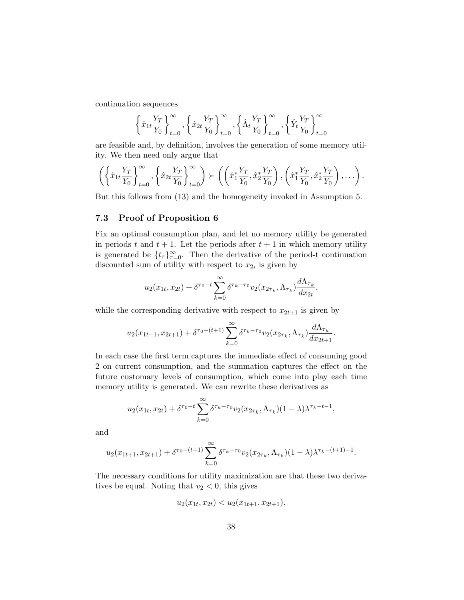continuation sequences

$$
\left\{\hat{x}_{1t}\frac{Y_T}{Y_0}\right\}_{t=0}^{\infty}, \left\{\hat{x}_{2t}\frac{Y_T}{Y_0}\right\}_{t=0}^{\infty}, \left\{\hat{\Lambda}_t\frac{Y_T}{Y_0}\right\}_{t=0}^{\infty}, \left\{\hat{Y}_t\frac{Y_T}{Y_0}\right\}_{t=0}^{\infty}
$$

are feasible and, by definition, involves the generation of some memory utility. We then need only argue that

$$
\left(\left\{\hat{x}_{1t}\frac{Y_T}{Y_0}\right\}_{t=0}^{\infty},\left\{\hat{x}_{2t}\frac{Y_T}{Y_0}\right\}_{t=0}^{\infty}\right) \succ \left(\left(\hat{x}_1^*\frac{Y_T}{Y_0},\hat{x}_2^*\frac{Y_T}{Y_0}\right),\left(\hat{x}_1^*\frac{Y_T}{Y_0},\hat{x}_2^*\frac{Y_T}{Y_0}\right),\ldots\right).
$$

But this follows from (13) and the homogeneity invoked in Assumption 5.

# 7.3 Proof of Proposition 6

Fix an optimal consumption plan, and let no memory utility be generated in periods t and  $t + 1$ . Let the periods after  $t + 1$  in which memory utility is generated be  $\{t_{\tau}\}_{\tau=0}^{\infty}$ . Then the derivative of the period-t continuation discounted sum of utility with respect to  $x_{2t}$  is given by

$$
u_2(x_{1t}, x_{2t}) + \delta^{\tau_0 - t} \sum_{k=0}^{\infty} \delta^{\tau_k - \tau_0} v_2(x_{2\tau_k}, \Lambda_{\tau_k}) \frac{d\Lambda_{\tau_k}}{dx_{2t}},
$$

while the corresponding derivative with respect to  $x_{2t+1}$  is given by

$$
u_2(x_{1t+1}, x_{2t+1}) + \delta^{\tau_0 - (t+1)} \sum_{k=0}^{\infty} \delta^{\tau_k - \tau_0} v_2(x_{2\tau_k}, \Lambda_{\tau_k}) \frac{d\Lambda_{\tau_k}}{dx_{2t+1}}.
$$

In each case the first term captures the immediate effect of consuming good 2 on current consumption, and the summation captures the effect on the future customary levels of consumption, which come into play each time memory utility is generated. We can rewrite these derivatives as

$$
u_2(x_{1t}, x_{2t}) + \delta^{\tau_0 - t} \sum_{k=0}^{\infty} \delta^{\tau_k - \tau_0} v_2(x_{2\tau_k}, \Lambda_{\tau_k}) (1 - \lambda) \lambda^{\tau_k - t - 1},
$$

and

$$
u_2(x_{1t+1}, x_{2t+1}) + \delta^{\tau_0 - (t+1)} \sum_{k=0}^{\infty} \delta^{\tau_k - \tau_0} v_2(x_{2\tau_k}, \Lambda_{\tau_k}) (1 - \lambda) \lambda^{\tau_k - (t+1) - 1}.
$$

The necessary conditions for utility maximization are that these two derivatives be equal. Noting that  $v_2 < 0$ , this gives

$$
u_2(x_{1t}, x_{2t}) < u_2(x_{1t+1}, x_{2t+1}).
$$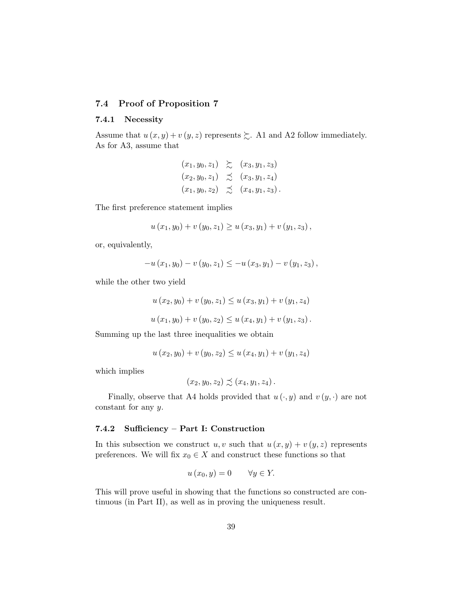# 7.4 Proof of Proposition 7

#### 7.4.1 Necessity

Assume that  $u(x, y) + v(y, z)$  represents  $\succsim$ . A1 and A2 follow immediately. As for A3, assume that

$$
(x_1, y_0, z_1) \geq (x_3, y_1, z_3)
$$
  
\n $(x_2, y_0, z_1) \geq (x_3, y_1, z_4)$   
\n $(x_1, y_0, z_2) \geq (x_4, y_1, z_3).$ 

The first preference statement implies

$$
u(x_1, y_0) + v(y_0, z_1) \ge u(x_3, y_1) + v(y_1, z_3),
$$

or, equivalently,

$$
-u(x_1, y_0) - v(y_0, z_1) \le -u(x_3, y_1) - v(y_1, z_3),
$$

while the other two yield

$$
u(x_2, y_0) + v(y_0, z_1) \le u(x_3, y_1) + v(y_1, z_4)
$$
  

$$
u(x_1, y_0) + v(y_0, z_2) \le u(x_4, y_1) + v(y_1, z_3).
$$

Summing up the last three inequalities we obtain

$$
u(x_2, y_0) + v(y_0, z_2) \le u(x_4, y_1) + v(y_1, z_4)
$$

which implies

$$
(x_2, y_0, z_2) \precsim (x_4, y_1, z_4).
$$

Finally, observe that A4 holds provided that  $u(\cdot, y)$  and  $v(y, \cdot)$  are not constant for any y.

### 7.4.2 Sufficiency – Part I: Construction

In this subsection we construct u, v such that  $u(x, y) + v(y, z)$  represents preferences. We will fix  $x_0 \in X$  and construct these functions so that

$$
u(x_0, y) = 0 \qquad \forall y \in Y.
$$

This will prove useful in showing that the functions so constructed are continuous (in Part II), as well as in proving the uniqueness result.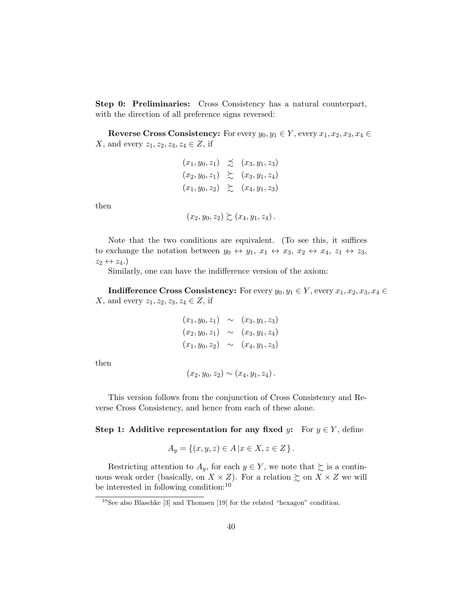Step 0: Preliminaries: Cross Consistency has a natural counterpart, with the direction of all preference signs reversed:

**Reverse Cross Consistency:** For every  $y_0, y_1 \in Y$ , every  $x_1, x_2, x_3, x_4 \in Y$ X, and every  $z_1, z_2, z_3, z_4 \in Z$ , if

$$
(x_1, y_0, z_1) \precsim (x_3, y_1, z_3)
$$
  
\n
$$
(x_2, y_0, z_1) \succeq (x_3, y_1, z_4)
$$
  
\n
$$
(x_1, y_0, z_2) \succeq (x_4, y_1, z_3)
$$

then

$$
(x_2,y_0,z_2)\succsim(x_4,y_1,z_4)
$$

Note that the two conditions are equivalent. (To see this, it suffices to exchange the notation between  $y_0 \leftrightarrow y_1, x_1 \leftrightarrow x_3, x_2 \leftrightarrow x_4, z_1 \leftrightarrow z_3$  $z_2 \leftrightarrow z_4.$ 

Similarly, one can have the indifference version of the axiom:

**Indifference Cross Consistency:** For every  $y_0, y_1 \in Y$ , every  $x_1, x_2, x_3, x_4 \in Y$ X, and every  $z_1, z_2, z_3, z_4 \in Z$ , if

$$
(x_1, y_0, z_1) \sim (x_3, y_1, z_3)
$$
  
\n
$$
(x_2, y_0, z_1) \sim (x_3, y_1, z_4)
$$
  
\n
$$
(x_1, y_0, z_2) \sim (x_4, y_1, z_3)
$$

then

$$
(x_2, y_0, z_2) \sim (x_4, y_1, z_4).
$$

This version follows from the conjunction of Cross Consistency and Reverse Cross Consistency, and hence from each of these alone.

Step 1: Additive representation for any fixed y: For  $y \in Y$ , define

$$
A_y = \{(x, y, z) \in A \, | \, x \in X, z \in Z \}.
$$

Restricting attention to  $A_y$ , for each  $y \in Y$ , we note that  $\succsim$  is a continuous weak order (basically, on  $X \times Z$ ). For a relation  $\succsim$  on  $X \times Z$  we will be interested in following condition:<sup>10</sup>

<sup>10</sup>See also Blaschke [3] and Thomsen [19] for the related "hexagon" condition.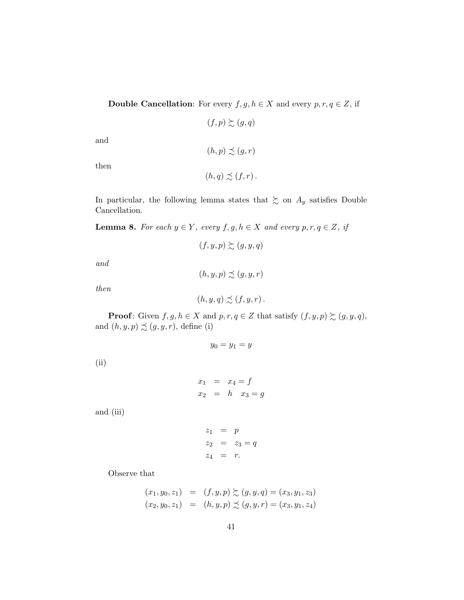**Double Cancellation:** For every  $f, g, h \in X$  and every  $p, r, q \in Z$ , if

 $(f, p) \succsim (g, q)$ 

 $(h, p) \precsim (g, r)$ 

and

then

$$
(h,q)\precsim(f,r).
$$

In particular, the following lemma states that  $\gtrsim$  on  $A_y$  satisfies Double Cancellation.

**Lemma 8.** For each  $y \in Y$ , every  $f, g, h \in X$  and every  $p, r, q \in Z$ , if

$$
(f, y, p) \succsim (g, y, q)
$$

and

 $(h, y, p) \precsim (g, y, r)$ 

then

$$
(h, y, q) \precsim (f, y, r).
$$

**Proof:** Given  $f, g, h \in X$  and  $p, r, q \in Z$  that satisfy  $(f, y, p) \succsim (g, y, q)$ , and  $(h, y, p) \precsim (g, y, r)$ , define (i)

$$
y_0=y_1=y
$$

(ii)

$$
x_1 = x_4 = f
$$
  

$$
x_2 = h \quad x_3 = g
$$

and (iii)

$$
z_1 = p
$$
  
\n $z_2 = z_3 = q$   
\n $z_4 = r$ .

Observe that

$$
(x_1, y_0, z_1) = (f, y, p) \succsim (g, y, q) = (x_3, y_1, z_3)
$$
  

$$
(x_2, y_0, z_1) = (h, y, p) \preceq (g, y, r) = (x_3, y_1, z_4)
$$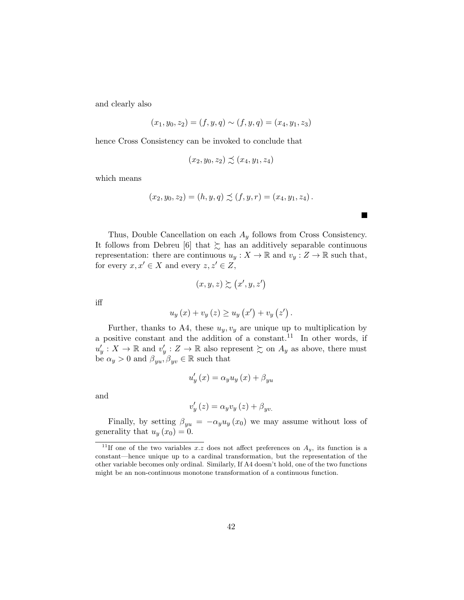and clearly also

$$
(x_1, y_0, z_2) = (f, y, q) \sim (f, y, q) = (x_4, y_1, z_3)
$$

hence Cross Consistency can be invoked to conclude that

$$
(x_2, y_0, z_2) \precsim (x_4, y_1, z_4)
$$

which means

$$
(x_2, y_0, z_2) = (h, y, q) \precsim (f, y, r) = (x_4, y_1, z_4).
$$

П

Thus, Double Cancellation on each  $A_y$  follows from Cross Consistency. It follows from Debreu [6] that  $\succsim$  has an additively separable continuous representation: there are continuous  $u_y: X \to \mathbb{R}$  and  $v_y: Z \to \mathbb{R}$  such that, for every  $x, x' \in X$  and every  $z, z' \in Z$ ,

$$
(x, y, z) \succsim (x', y, z')
$$

iff

$$
u_y(x) + v_y(z) \ge u_y(x') + v_y(z').
$$

Further, thanks to A4, these  $u_y, v_y$  are unique up to multiplication by a positive constant and the addition of a constant.<sup>11</sup> In other words, if  $u'_y: X \to \mathbb{R}$  and  $v'_y: Z \to \mathbb{R}$  also represent  $\succsim$  on  $A_y$  as above, there must be  $\alpha_y > 0$  and  $\beta_{yu}, \beta_{yv} \in \mathbb{R}$  such that

$$
u_y'(x) = \alpha_y u_y(x) + \beta_{yu}
$$

and

$$
v_y'(z) = \alpha_y v_y(z) + \beta_{yv.}
$$

Finally, by setting  $\beta_{yu} = -\alpha_y u_y(x_0)$  we may assume without loss of generality that  $u_y(x_0) = 0$ .

<sup>&</sup>lt;sup>11</sup>If one of the two variables x.z does not affect preferences on  $A_y$ , its function is a constant—hence unique up to a cardinal transformation, but the representation of the other variable becomes only ordinal. Similarly, If A4 doesn't hold, one of the two functions might be an non-continuous monotone transformation of a continuous function.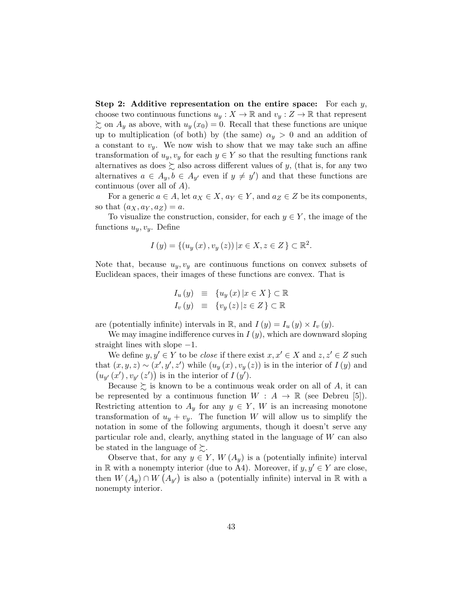Step 2: Additive representation on the entire space: For each  $y$ , choose two continuous functions  $u_y: X \to \mathbb{R}$  and  $v_y: Z \to \mathbb{R}$  that represent  $\sum_{n=1}^{\infty}$  on  $A_y$  as above, with  $u_y(x_0) = 0$ . Recall that these functions are unique up to multiplication (of both) by (the same)  $\alpha_y > 0$  and an addition of a constant to  $v_y$ . We now wish to show that we may take such an affine transformation of  $u_y, v_y$  for each  $y \in Y$  so that the resulting functions rank alternatives as does  $\succsim$  also across different values of y, (that is, for any two alternatives  $a \in A_y, b \in A_{y'}$  even if  $y \neq y'$  and that these functions are continuous (over all of A).

For a generic  $a \in A$ , let  $a_X \in X$ ,  $a_Y \in Y$ , and  $a_Z \in Z$  be its components, so that  $(a_X, a_Y, a_Z) = a$ .

To visualize the construction, consider, for each  $y \in Y$ , the image of the functions  $u_y, v_y$ . Define

$$
I(y) = \{(u_y(x), v_y(z)) | x \in X, z \in Z\} \subset \mathbb{R}^2.
$$

Note that, because  $u_y, v_y$  are continuous functions on convex subsets of Euclidean spaces, their images of these functions are convex. That is

$$
I_u(y) \equiv \{u_y(x) | x \in X\} \subset \mathbb{R}
$$
  

$$
I_v(y) \equiv \{v_y(z) | z \in Z\} \subset \mathbb{R}
$$

are (potentially infinite) intervals in  $\mathbb{R}$ , and  $I(y) = I_u(y) \times I_v(y)$ .

We may imagine indifference curves in  $I(y)$ , which are downward sloping straight lines with slope  $-1$ .

We define  $y, y' \in Y$  to be *close* if there exist  $x, x' \in X$  and  $z, z' \in Z$  such that  $(x, y, z) \sim (x', y', z')$  while  $(u_y(x), v_y(z))$  is in the interior of  $I(y)$  and  $(u_{y'}(x'), v_{y'}(z'))$  is in the interior of  $I(y')$ .

Because  $\succsim$  is known to be a continuous weak order on all of A, it can be represented by a continuous function  $W : A \to \mathbb{R}$  (see Debreu [5]). Restricting attention to  $A_y$  for any  $y \in Y$ , W is an increasing monotone transformation of  $u_y + v_y$ . The function W will allow us to simplify the notation in some of the following arguments, though it doesn't serve any particular role and, clearly, anything stated in the language of W can also be stated in the language of  $\succsim$ .

Observe that, for any  $y \in Y$ ,  $W(A_y)$  is a (potentially infinite) interval in R with a nonempty interior (due to A4). Moreover, if  $y, y' \in Y$  are close, then  $W(A_y) \cap W(A_{y'})$  is also a (potentially infinite) interval in R with a nonempty interior.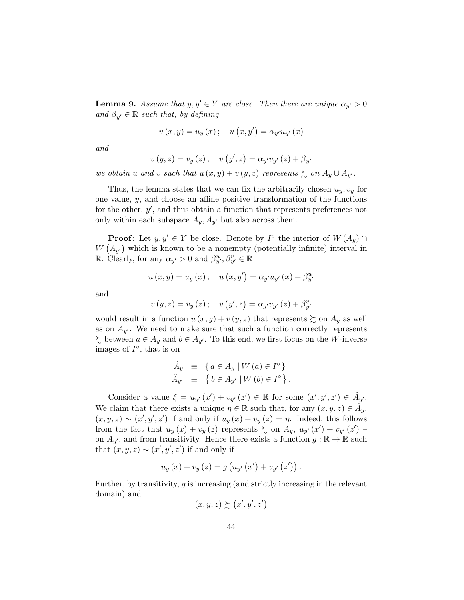**Lemma 9.** Assume that  $y, y' \in Y$  are close. Then there are unique  $\alpha_{y'} > 0$ and  $\beta_{y'} \in \mathbb{R}$  such that, by defining

$$
u(x,y) = u_y(x); \quad u(x,y') = \alpha_{y'}u_{y'}(x)
$$

and

$$
v(y, z) = v_y(z); \quad v(y', z) = \alpha_{y'} v_{y'}(z) + \beta_{y'}
$$

we obtain u and v such that  $u(x, y) + v(y, z)$  represents  $\succsim$  on  $A_y \cup A_{y'}$ .

Thus, the lemma states that we can fix the arbitrarily chosen  $u_y, v_y$  for one value, y, and choose an affine positive transformation of the functions for the other,  $y'$ , and thus obtain a function that represents preferences not only within each subspace  $A_y$ ,  $A_{y'}$  but also across them.

**Proof**: Let  $y, y' \in Y$  be close. Denote by  $I^{\circ}$  the interior of  $W(A_y) \cap Y$  $W(A_{y'})$  which is known to be a nonempty (potentially infinite) interval in R. Clearly, for any  $\alpha_{y'} > 0$  and  $\beta_{y'}^u, \beta_{y'}^v \in \mathbb{R}$ 

$$
u(x,y) = u_y(x);
$$
  $u(x,y') = \alpha_{y'}u_{y'}(x) + \beta_{y'}^u$ 

and

$$
v(y, z) = v_y(z); \quad v(y', z) = \alpha_{y'} v_{y'}(z) + \beta_{y'}^v
$$

would result in a function  $u(x, y) + v(y, z)$  that represents  $\succeq$  on  $A_y$  as well as on  $A_{y'}$ . We need to make sure that such a function correctly represents  $\sum$  between  $a \in A_y$  and  $b \in A_{y'}$ . To this end, we first focus on the W-inverse images of  $I^{\circ}$ , that is on

$$
\begin{array}{rcl}\n\hat{A}_y & \equiv & \left\{ \, a \in A_y \mid W \left( a \right) \in I^\circ \, \right\} \\
\hat{A}_{y'} & \equiv & \left\{ \, b \in A_{y'} \mid W \left( b \right) \in I^\circ \, \right\}.\n\end{array}
$$

Consider a value  $\xi = u_{y'}(x') + v_{y'}(z') \in \mathbb{R}$  for some  $(x', y', z') \in \hat{A}_{y'}$ . We claim that there exists a unique  $\eta \in \mathbb{R}$  such that, for any  $(x, y, z) \in \hat{A}_y$ ,  $(x, y, z) \sim (x', y', z')$  if and only if  $u_y(x) + v_y(z) = \eta$ . Indeed, this follows from the fact that  $u_y(x) + v_y(z)$  represents  $\sum$  on  $A_y$ ,  $u_{y'}(x') + v_{y'}(z')$ on  $A_{y'}$ , and from transitivity. Hence there exists a function  $g : \mathbb{R} \to \mathbb{R}$  such that  $(x, y, z) \sim (x', y', z')$  if and only if

$$
u_y(x) + v_y(z) = g(u_{y'}(x') + v_{y'}(z'))
$$
.

Further, by transitivity,  $g$  is increasing (and strictly increasing in the relevant domain) and

$$
(x, y, z) \succsim (x', y', z')
$$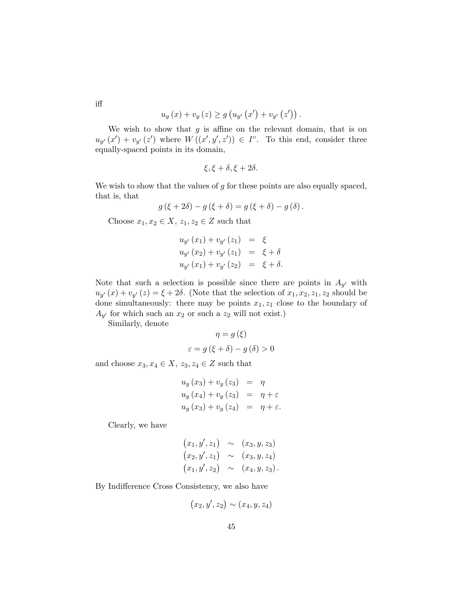$$
u_y(x) + v_y(z) \ge g(u_{y'}(x') + v_{y'}(z'))
$$
.

We wish to show that  $g$  is affine on the relevant domain, that is on  $u_{y'}(x') + v_{y'}(z')$  where  $W((x', y', z')) \in I^{\circ}$ . To this end, consider three equally-spaced points in its domain,

$$
\xi, \xi + \delta, \xi + 2\delta.
$$

We wish to show that the values of  $g$  for these points are also equally spaced, that is, that

$$
g(\xi + 2\delta) - g(\xi + \delta) = g(\xi + \delta) - g(\delta).
$$

Choose  $x_1, x_2 \in X$ ,  $z_1, z_2 \in Z$  such that

$$
u_{y'}(x_1) + v_{y'}(z_1) = \xi u_{y'}(x_2) + v_{y'}(z_1) = \xi + \delta u_{y'}(x_1) + v_{y'}(z_2) = \xi + \delta.
$$

Note that such a selection is possible since there are points in  $A_{y'}$  with  $u_{y'}(x) + v_{y'}(z) = \xi + 2\delta$ . (Note that the selection of  $x_1, x_2, z_1, z_2$  should be done simultaneously: there may be points  $x_1, z_1$  close to the boundary of  $A_{y'}$  for which such an  $x_2$  or such a  $z_2$  will not exist.)

Similarly, denote

$$
\eta = g(\xi)
$$

$$
\varepsilon = g(\xi + \delta) - g(\delta) > 0
$$

and choose  $x_3, x_4 \in X$ ,  $z_3, z_4 \in Z$  such that

$$
u_y(x_3) + v_y(z_3) = \eta
$$
  
\n
$$
u_y(x_4) + v_y(z_3) = \eta + \varepsilon
$$
  
\n
$$
u_y(x_3) + v_y(z_4) = \eta + \varepsilon
$$

Clearly, we have

$$
(x_1, y', z_1)
$$
  $\sim$   $(x_3, y, z_3)$   
\n $(x_2, y', z_1)$   $\sim$   $(x_3, y, z_4)$   
\n $(x_1, y', z_2)$   $\sim$   $(x_4, y, z_3)$ .

By Indifference Cross Consistency, we also have

$$
(x_2, y', z_2) \sim (x_4, y, z_4)
$$

iff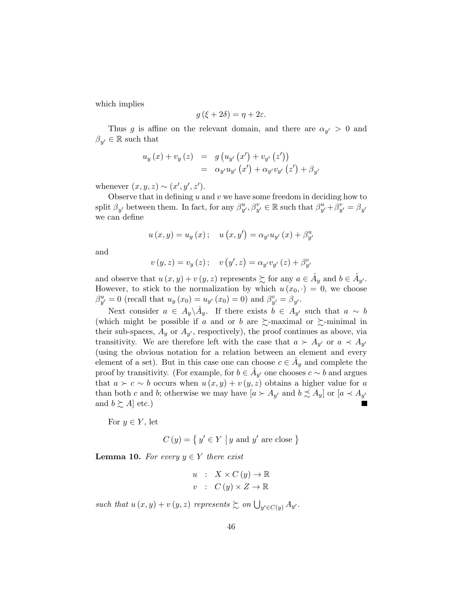which implies

$$
g(\xi + 2\delta) = \eta + 2\varepsilon.
$$

Thus g is affine on the relevant domain, and there are  $\alpha_{y'} > 0$  and  $\beta_{y'} \in \mathbb{R}$  such that

$$
u_y(x) + v_y(z) = g(u_{y'}(x') + v_{y'}(z'))
$$
  
=  $\alpha_{y'}u_{y'}(x') + \alpha_{y'}v_{y'}(z') + \beta_{y'}$ 

whenever  $(x, y, z) \sim (x', y', z')$ .

Observe that in defining  $u$  and  $v$  we have some freedom in deciding how to split  $\beta_{y'}$  between them. In fact, for any  $\beta_{y'}^u, \beta_{y'}^v \in \mathbb{R}$  such that  $\beta_{y'}^u + \beta_{y'}^v = \beta_{y'}$ we can define

$$
u(x,y) = u_y(x);
$$
  $u(x,y') = \alpha_{y'}u_{y'}(x) + \beta_{y'}^u$ 

and

$$
v(y, z) = v_y(z); \quad v(y', z) = \alpha_{y'} v_{y'}(z) + \beta_{y'}^v
$$

and observe that  $u(x, y) + v(y, z)$  represents  $\succeq$  for any  $a \in \hat{A}_y$  and  $b \in \hat{A}_{y'}$ . However, to stick to the normalization by which  $u(x_0, \cdot) = 0$ , we choose  $\beta_{y'}^{u} = 0$  (recall that  $u_{y}(x_{0}) = u_{y'}(x_{0}) = 0$ ) and  $\beta_{y'}^{v} = \beta_{y'}$ .

Next consider  $a \in A_y \backslash \hat{A}_y$ . If there exists  $b \in A_{y'}$  such that  $a \sim b$ (which might be possible if a and or b are  $\gtrsim$ -maximal or  $\gtrsim$ -minimal in their sub-spaces,  $A_y$  or  $A_{y'}$ , respectively), the proof continues as above, via transitivity. We are therefore left with the case that  $a \succ A_{y'}$  or  $a \prec A_{y'}$ (using the obvious notation for a relation between an element and every element of a set). But in this case one can choose  $c \in \hat{A}_y$  and complete the proof by transitivity. (For example, for  $b \in \hat{A}_{y'}$  one chooses  $c \sim b$  and argues that  $a \succ c \sim b$  occurs when  $u(x, y) + v(y, z)$  obtains a higher value for a than both c and b; otherwise we may have  $[a \succ A_{y'}]$  and  $b \precsim A_{y'}$  or  $[a \prec A_{y'}]$ and  $b \succsim A$ ] etc.)

For  $y \in Y$ , let

 $C(y) = \{ y' \in Y \mid y \text{ and } y' \text{ are close } \}$ 

**Lemma 10.** For every  $y \in Y$  there exist

$$
u : X \times C (y) \to \mathbb{R}
$$
  

$$
v : C (y) \times Z \to \mathbb{R}
$$

such that  $u(x, y) + v(y, z)$  represents  $\succsim$  on  $\bigcup_{y' \in C(y)} A_{y'}$ .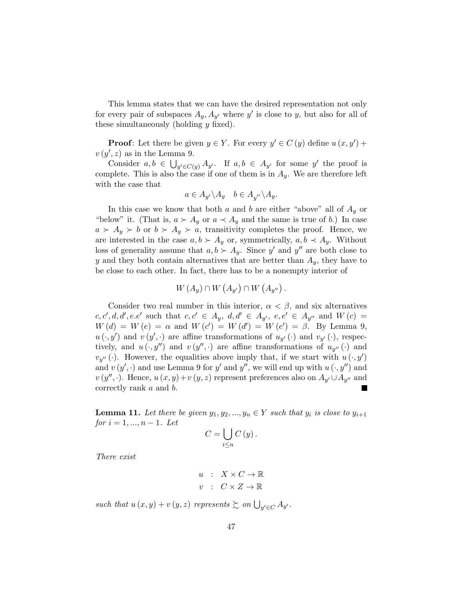This lemma states that we can have the desired representation not only for every pair of subspaces  $A_y$ ,  $A_{y'}$  where  $y'$  is close to y, but also for all of these simultaneously (holding  $y$  fixed).

**Proof:** Let there be given  $y \in Y$ . For every  $y' \in C(y)$  define  $u(x, y')$  +  $v(y', z)$  as in the Lemma 9.

Consider  $a, b \in \bigcup_{y' \in C(y)} A_{y'}$ . If  $a, b \in A_{y'}$  for some y' the proof is complete. This is also the case if one of them is in  $A_y$ . We are therefore left with the case that

$$
a \in A_{y'} \backslash A_y \quad b \in A_{y''} \backslash A_y.
$$

In this case we know that both a and b are either "above" all of  $A_y$  or "below" it. (That is,  $a \succ A_y$  or  $a \prec A_y$  and the same is true of b.) In case  $a \succ A_y \succ b$  or  $b \succ A_y \succ a$ , transitivity completes the proof. Hence, we are interested in the case  $a, b \succ A_y$  or, symmetrically,  $a, b \prec A_y$ . Without loss of generality assume that  $a, b \succ A_y$ . Since y' and y'' are both close to y and they both contain alternatives that are better than  $A_y$ , they have to be close to each other. In fact, there has to be a nonempty interior of

$$
W(A_y) \cap W(A_{y'}) \cap W(A_{y''}) .
$$

Consider two real number in this interior,  $\alpha < \beta$ , and six alternatives  $c, c', d, d', e.e'$  such that  $c, c' \in A_y, d, d' \in A_{y'}, e, e' \in A_{y''}$  and  $W(c) =$  $W(d) = W(e) = \alpha$  and  $W(c') = W(d') = W(e') = \beta$ . By Lemma 9,  $u(\cdot, y')$  and  $v(y', \cdot)$  are affine transformations of  $u_{y'}(\cdot)$  and  $v_{y'}(\cdot)$ , respectively, and  $u(\cdot, y'')$  and  $v(y'', \cdot)$  are affine transformations of  $u_{y''}(\cdot)$  and  $v_{y''}(\cdot)$ . However, the equalities above imply that, if we start with  $u(\cdot, y')$ and  $v(y', \cdot)$  and use Lemma 9 for y' and y'', we will end up with  $u(\cdot, y'')$  and  $v(y'', \cdot)$ . Hence,  $u(x, y) + v(y, z)$  represent preferences also on  $A_{y'} \cup A_{y''}$  and correctly rank a and b.

**Lemma 11.** Let there be given  $y_1, y_2, ..., y_n \in Y$  such that  $y_i$  is close to  $y_{i+1}$  $for i = 1, ..., n - 1$ . Let

$$
C=\bigcup_{i\leq n}C(y).
$$

There exist

$$
u : X \times C \to \mathbb{R}
$$
  

$$
v : C \times Z \to \mathbb{R}
$$

such that  $u(x, y) + v(y, z)$  represents  $\succsim on \bigcup_{y' \in C} A_{y'}$ .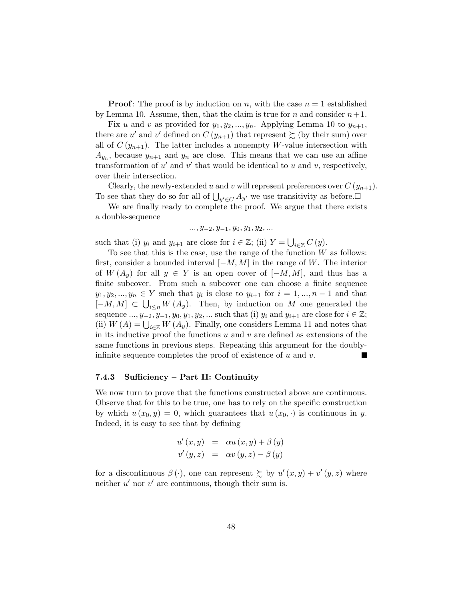**Proof:** The proof is by induction on n, with the case  $n = 1$  established by Lemma 10. Assume, then, that the claim is true for n and consider  $n+1$ .

Fix u and v as provided for  $y_1, y_2, ..., y_n$ . Applying Lemma 10 to  $y_{n+1}$ , there are u' and v' defined on  $C(y_{n+1})$  that represent  $\succsim$  (by their sum) over all of  $C(y_{n+1})$ . The latter includes a nonempty W-value intersection with  $A_{y_n}$ , because  $y_{n+1}$  and  $y_n$  are close. This means that we can use an affine transformation of  $u'$  and  $v'$  that would be identical to u and v, respectively, over their intersection.

Clearly, the newly-extended u and v will represent preferences over  $C(y_{n+1})$ . To see that they do so for all of  $\bigcup_{y' \in C} A_{y'}$  we use transitivity as before.

We are finally ready to complete the proof. We argue that there exists a double-sequence

$$
..., y_{-2}, y_{-1}, y_0, y_1, y_2, ...
$$

such that (i)  $y_i$  and  $y_{i+1}$  are close for  $i \in \mathbb{Z}$ ; (ii)  $Y = \bigcup_{i \in \mathbb{Z}} C(y)$ .

To see that this is the case, use the range of the function  $W$  as follows: first, consider a bounded interval  $[-M, M]$  in the range of W. The interior of  $W(A_y)$  for all  $y \in Y$  is an open cover of  $[-M, M]$ , and thus has a finite subcover. From such a subcover one can choose a finite sequence  $y_1, y_2, ..., y_n \in Y$  such that  $y_i$  is close to  $y_{i+1}$  for  $i = 1, ..., n-1$  and that  $[-M, M] \subset \bigcup_{i \leq n} W(A_i)$ . Then, by induction on M one generated the sequence ...,  $y_{-2}, y_{-1}, y_0, y_1, y_2, ...$  such that (i)  $y_i$  and  $y_{i+1}$  are close for  $i \in \mathbb{Z}$ ; (ii)  $W(A) = \bigcup_{i \in \mathbb{Z}} W(A_i)$ . Finally, one considers Lemma 11 and notes that in its inductive proof the functions  $u$  and  $v$  are defined as extensions of the same functions in previous steps. Repeating this argument for the doublyinfinite sequence completes the proof of existence of  $u$  and  $v$ .

#### 7.4.3 Sufficiency – Part II: Continuity

We now turn to prove that the functions constructed above are continuous. Observe that for this to be true, one has to rely on the specific construction by which  $u(x_0, y) = 0$ , which guarantees that  $u(x_0, \cdot)$  is continuous in y. Indeed, it is easy to see that by defining

$$
u'(x, y) = \alpha u(x, y) + \beta(y)
$$
  

$$
v'(y, z) = \alpha v(y, z) - \beta(y)
$$

for a discontinuous  $\beta(\cdot)$ , one can represent  $\sum y_i u'(x, y) + v'(y, z)$  where neither  $u'$  nor  $v'$  are continuous, though their sum is.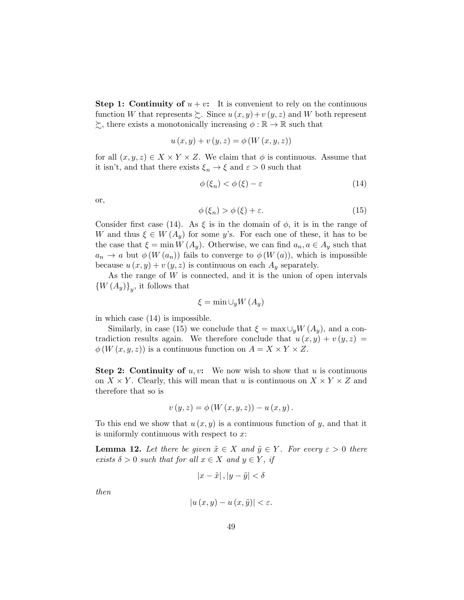**Step 1: Continuity of**  $u + v$ : It is convenient to rely on the continuous function W that represents  $\sum$ . Since  $u(x, y) + v(y, z)$  and W both represent  $\succsim$ , there exists a monotonically increasing  $\phi : \mathbb{R} \to \mathbb{R}$  such that

$$
u(x, y) + v(y, z) = \phi(W(x, y, z))
$$

for all  $(x, y, z) \in X \times Y \times Z$ . We claim that  $\phi$  is continuous. Assume that it isn't, and that there exists  $\xi_n \to \xi$  and  $\varepsilon > 0$  such that

$$
\phi\left(\xi_n\right) < \phi\left(\xi\right) - \varepsilon \tag{14}
$$

or,

$$
\phi\left(\xi_n\right) > \phi\left(\xi\right) + \varepsilon. \tag{15}
$$

Consider first case (14). As  $\xi$  is in the domain of  $\phi$ , it is in the range of W and thus  $\xi \in W(A_u)$  for some y's. For each one of these, it has to be the case that  $\xi = \min W(A_y)$ . Otherwise, we can find  $a_n, a \in A_y$  such that  $a_n \to a$  but  $\phi(W(a_n))$  fails to converge to  $\phi(W(a))$ , which is impossible because  $u(x, y) + v(y, z)$  is continuous on each  $A_y$  separately.

As the range of W is connected, and it is the union of open intervals  $\left\{ W\left( A_{y}\right) \right\} _{y}$ , it follows that

$$
\xi = \min \cup_y W(A_y)
$$

in which case (14) is impossible.

Similarly, in case (15) we conclude that  $\xi = \max \cup_y W(A_y)$ , and a contradiction results again. We therefore conclude that  $u(x, y) + v(y, z) =$  $\phi(W(x, y, z))$  is a continuous function on  $A = X \times Y \times Z$ .

**Step 2: Continuity of**  $u, v$ : We now wish to show that  $u$  is continuous on  $X \times Y$ . Clearly, this will mean that u is continuous on  $X \times Y \times Z$  and therefore that so is

$$
v(y,z) = \phi(W(x,y,z)) - u(x,y).
$$

To this end we show that  $u(x, y)$  is a continuous function of y, and that it is uniformly continuous with respect to  $x$ :

**Lemma 12.** Let there be given  $\tilde{x} \in X$  and  $\tilde{y} \in Y$ . For every  $\varepsilon > 0$  there exists  $\delta > 0$  such that for all  $x \in X$  and  $y \in Y$ , if

$$
|x - \tilde{x}|, |y - \tilde{y}| < \delta
$$

then

$$
\left|u\left(x,y\right)-u\left(x,\tilde{y}\right)\right|<\varepsilon.
$$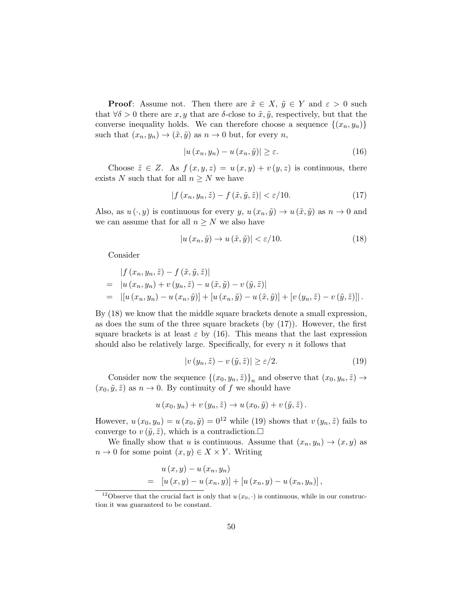**Proof:** Assume not. Then there are  $\tilde{x} \in X$ ,  $\tilde{y} \in Y$  and  $\varepsilon > 0$  such that  $\forall \delta > 0$  there are x, y that are  $\delta$ -close to  $\tilde{x}, \tilde{y}$ , respectively, but that the converse inequality holds. We can therefore choose a sequence  $\{(x_n, y_n)\}$ such that  $(x_n, y_n) \to (\tilde{x}, \tilde{y})$  as  $n \to 0$  but, for every n,

$$
\left| u\left(x_n, y_n\right) - u\left(x_n, \tilde{y}\right) \right| \ge \varepsilon. \tag{16}
$$

Choose  $\tilde{z} \in Z$ . As  $f(x, y, z) = u(x, y) + v(y, z)$  is continuous, there exists N such that for all  $n \geq N$  we have

$$
|f(x_n, y_n, \tilde{z}) - f(\tilde{x}, \tilde{y}, \tilde{z})| < \varepsilon/10. \tag{17}
$$

Also, as  $u(\cdot, y)$  is continuous for every y,  $u(x_n, \tilde{y}) \to u(\tilde{x}, \tilde{y})$  as  $n \to 0$  and we can assume that for all  $n\geq N$  we also have

$$
|u(x_n, \tilde{y}) \to u(\tilde{x}, \tilde{y})| < \varepsilon/10. \tag{18}
$$

Consider

$$
\begin{aligned}\n|f(x_n, y_n, \tilde{z}) - f(\tilde{x}, \tilde{y}, \tilde{z})| \\
= |u(x_n, y_n) + v(y_n, \tilde{z}) - u(\tilde{x}, \tilde{y}) - v(\tilde{y}, \tilde{z})| \\
= |[u(x_n, y_n) - u(x_n, \tilde{y})] + [u(x_n, \tilde{y}) - u(\tilde{x}, \tilde{y})] + [v(y_n, \tilde{z}) - v(\tilde{y}, \tilde{z})]].\n\end{aligned}
$$

By (18) we know that the middle square brackets denote a small expression, as does the sum of the three square brackets (by (17)). However, the first square brackets is at least  $\varepsilon$  by (16). This means that the last expression should also be relatively large. Specifically, for every  $n$  it follows that

$$
|v(y_n, \tilde{z}) - v(\tilde{y}, \tilde{z})| \ge \varepsilon/2.
$$
 (19)

Consider now the sequence  $\{(x_0, y_n, \tilde{z})\}_n$  and observe that  $(x_0, y_n, \tilde{z}) \to$  $(x_0, \tilde{y}, \tilde{z})$  as  $n \to 0$ . By continuity of f we should have

$$
u(x_0, y_n) + v(y_n, \tilde{z}) \to u(x_0, \tilde{y}) + v(\tilde{y}, \tilde{z}).
$$

However,  $u(x_0, y_n) = u(x_0, \tilde{y}) = 0^{12}$  while (19) shows that  $v(y_n, \tilde{z})$  fails to converge to  $v(\tilde{y}, \tilde{z})$ , which is a contradiction.

We finally show that u is continuous. Assume that  $(x_n, y_n) \to (x, y)$  as  $n \to 0$  for some point  $(x, y) \in X \times Y$ . Writing

$$
u(x, y) - u(x_n, y_n)
$$
  
=  $[u(x, y) - u(x_n, y)] + [u(x_n, y) - u(x_n, y_n)],$ 

<sup>&</sup>lt;sup>12</sup>Observe that the crucial fact is only that  $u(x_0, \cdot)$  is continuous, while in our construction it was guaranteed to be constant.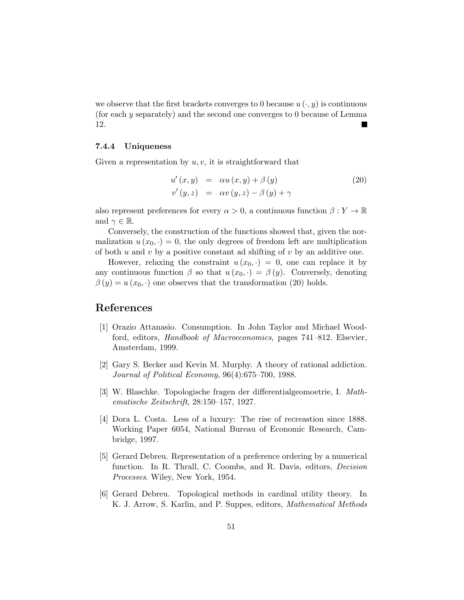we observe that the first brackets converges to 0 because  $u(\cdot, y)$  is continuous (for each y separately) and the second one converges to 0 because of Lemma 12.

#### 7.4.4 Uniqueness

Given a representation by  $u, v$ , it is straightforward that

$$
u'(x, y) = \alpha u(x, y) + \beta(y)
$$
  
\n
$$
v'(y, z) = \alpha v(y, z) - \beta(y) + \gamma
$$
\n(20)

also represent preferences for every  $\alpha > 0$ , a continuous function  $\beta : Y \to \mathbb{R}$ and  $\gamma \in \mathbb{R}$ .

Conversely, the construction of the functions showed that, given the normalization  $u(x_0, \cdot) = 0$ , the only degrees of freedom left are multiplication of both u and v by a positive constant ad shifting of v by an additive one.

However, relaxing the constraint  $u(x_0, \cdot) = 0$ , one can replace it by any continuous function  $\beta$  so that  $u(x_0, \cdot) = \beta(y)$ . Conversely, denoting  $\beta(y) = u(x_0, \cdot)$  one observes that the transformation (20) holds.

# References

- [1] Orazio Attanasio. Consumption. In John Taylor and Michael Woodford, editors, Handbook of Macroeconomics, pages 741–812. Elsevier, Amsterdam, 1999.
- [2] Gary S. Becker and Kevin M. Murphy. A theory of rational addiction. Journal of Political Economy, 96(4):675–700, 1988.
- [3] W. Blaschke. Topologische fragen der differentialgeomoetrie, I. Mathematische Zeitschrift, 28:150–157, 1927.
- [4] Dora L. Costa. Less of a luxury: The rise of recreastion since 1888. Working Paper 6054, National Bureau of Economic Research, Cambridge, 1997.
- [5] Gerard Debreu. Representation of a preference ordering by a numerical function. In R. Thrall, C. Coombs, and R. Davis, editors, Decision Processes. Wiley, New York, 1954.
- [6] Gerard Debreu. Topological methods in cardinal utility theory. In K. J. Arrow, S. Karlin, and P. Suppes, editors, Mathematical Methods